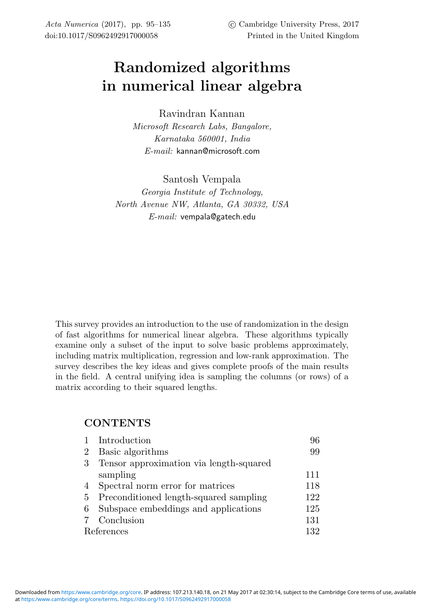# Randomized algorithms in numerical linear algebra

Ravindran Kannan

Microsoft Research Labs, Bangalore, Karnataka 560001, India E-mail: kannan@microsoft.com

Santosh Vempala Georgia Institute of Technology, North Avenue NW, Atlanta, GA 30332, USA  $E-mail:$  vempala@gatech.edu

This survey provides an introduction to the use of randomization in the design of fast algorithms for numerical linear algebra. These algorithms typically examine only a subset of the input to solve basic problems approximately, including matrix multiplication, regression and low-rank approximation. The survey describes the key ideas and gives complete proofs of the main results in the field. A central unifying idea is sampling the columns (or rows) of a matrix according to their squared lengths.

# **CONTENTS**

|                | 1 Introduction                           | 96  |
|----------------|------------------------------------------|-----|
| $\overline{2}$ | Basic algorithms                         | 99  |
| 3              | Tensor approximation via length-squared  |     |
|                | sampling                                 | 111 |
|                | 4 Spectral norm error for matrices       | 118 |
|                | 5 Preconditioned length-squared sampling | 122 |
|                | 6 Subspace embeddings and applications   | 125 |
|                | 7 Conclusion                             | 131 |
| References     |                                          | 132 |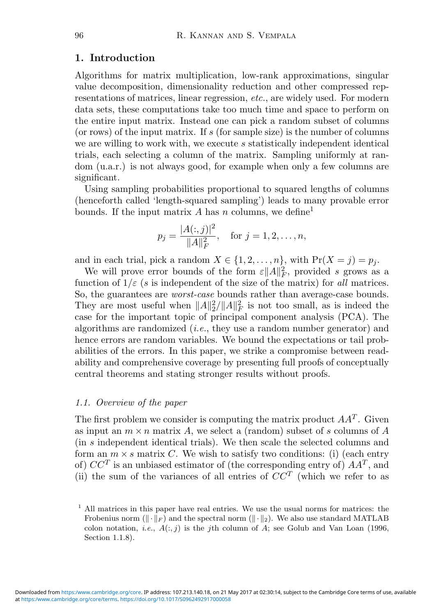# 1. Introduction

Algorithms for matrix multiplication, low-rank approximations, singular value decomposition, dimensionality reduction and other compressed representations of matrices, linear regression, etc., are widely used. For modern data sets, these computations take too much time and space to perform on the entire input matrix. Instead one can pick a random subset of columns (or rows) of the input matrix. If  $s$  (for sample size) is the number of columns we are willing to work with, we execute s statistically independent identical trials, each selecting a column of the matrix. Sampling uniformly at random (u.a.r.) is not always good, for example when only a few columns are significant.

Using sampling probabilities proportional to squared lengths of columns (henceforth called 'length-squared sampling') leads to many provable error bounds. If the input matrix A has n columns, we define

$$
p_j = \frac{|A(:,j)|^2}{\|A\|_F^2}, \quad \text{for } j = 1, 2, \dots, n,
$$

and in each trial, pick a random  $X \in \{1, 2, ..., n\}$ , with  $Pr(X = j) = p_j$ .

We will prove error bounds of the form  $\varepsilon ||A||_F^2$ , provided s grows as a function of  $1/\varepsilon$  (s is independent of the size of the matrix) for all matrices. So, the guarantees are worst-case bounds rather than average-case bounds. They are most useful when  $||A||_2^2/||A||_F^2$  is not too small, as is indeed the case for the important topic of principal component analysis (PCA). The algorithms are randomized  $(i.e., they use a random number generator)$  and hence errors are random variables. We bound the expectations or tail probabilities of the errors. In this paper, we strike a compromise between readability and comprehensive coverage by presenting full proofs of conceptually central theorems and stating stronger results without proofs.

#### 1.1. Overview of the paper

The first problem we consider is computing the matrix product  $AA<sup>T</sup>$ . Given as input an  $m \times n$  matrix A, we select a (random) subset of s columns of A (in s independent identical trials). We then scale the selected columns and form an  $m \times s$  matrix C. We wish to satisfy two conditions: (i) (each entry of)  $CC^T$  is an unbiased estimator of (the corresponding entry of)  $AA^T$ , and (ii) the sum of the variances of all entries of  $CC<sup>T</sup>$  (which we refer to as

 $<sup>1</sup>$  All matrices in this paper have real entries. We use the usual norms for matrices: the</sup> Frobenius norm  $(\Vert \cdot \Vert_F)$  and the spectral norm  $(\Vert \cdot \Vert_2)$ . We also use standard MATLAB colon notation, *i.e.*,  $A(:, j)$  is the *j*th column of A; see Golub and Van Loan (1996, Section 1.1.8).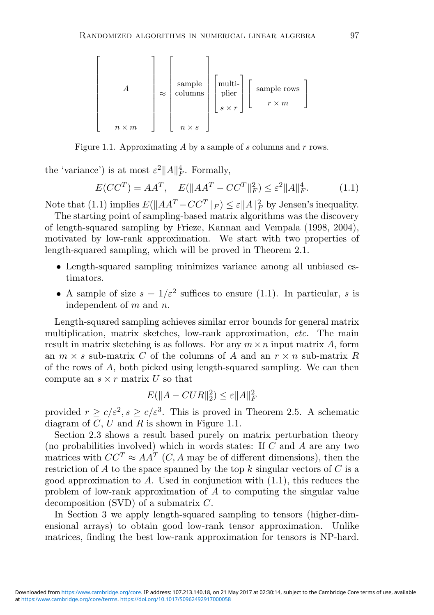$$
\left[\begin{array}{c}\nA \\
A \\
\vdots \\
n \times m\n\end{array}\right] \approx \left[\begin{array}{c}\n\text{sample} \\
\text{columns} \\
\vdots \\
\vdots \\
n \times s\n\end{array}\right] \left[\begin{array}{c}\n\text{multiple} \\
\text{plier} \\
s \times r\n\end{array}\right] \left[\begin{array}{c}\n\text{sample rows} \\
r \times m\n\end{array}\right]
$$

Figure 1.1. Approximating A by a sample of s columns and r rows.

the 'variance') is at most  $\varepsilon^2 ||A||_F^4$ . Formally,

$$
E(CC^T) = AA^T, \quad E(||AA^T - CC^T||_F^2) \le \varepsilon^2 ||A||_F^4. \tag{1.1}
$$

Note that (1.1) implies  $E(||AA^T - CC^T||_F) \le \varepsilon ||A||_F^2$  by Jensen's inequality.

The starting point of sampling-based matrix algorithms was the discovery of length-squared sampling by Frieze, Kannan and Vempala (1998, 2004), motivated by low-rank approximation. We start with two properties of length-squared sampling, which will be proved in Theorem 2.1.

- Length-squared sampling minimizes variance among all unbiased estimators.
- A sample of size  $s = 1/\varepsilon^2$  suffices to ensure (1.1). In particular, s is independent of  $m$  and  $n$ .

Length-squared sampling achieves similar error bounds for general matrix multiplication, matrix sketches, low-rank approximation, *etc.* The main result in matrix sketching is as follows. For any  $m \times n$  input matrix A, form an  $m \times s$  sub-matrix C of the columns of A and an  $r \times n$  sub-matrix R of the rows of  $A$ , both picked using length-squared sampling. We can then compute an  $s \times r$  matrix U so that

$$
E(||A - CUR||_2^2) \le \varepsilon ||A||_F^2
$$

provided  $r \geq c/\varepsilon^2$ ,  $s \geq c/\varepsilon^3$ . This is proved in Theorem 2.5. A schematic diagram of  $C, U$  and  $R$  is shown in Figure 1.1.

Section 2.3 shows a result based purely on matrix perturbation theory (no probabilities involved) which in words states: If  $C$  and  $A$  are any two matrices with  $CC^T \approx AA^T$  (*C*, *A* may be of different dimensions), then the restriction of  $A$  to the space spanned by the top  $k$  singular vectors of  $C$  is a good approximation to A. Used in conjunction with  $(1.1)$ , this reduces the problem of low-rank approximation of  $A$  to computing the singular value decomposition (SVD) of a submatrix C.

In Section 3 we apply length-squared sampling to tensors (higher-dimensional arrays) to obtain good low-rank tensor approximation. Unlike matrices, finding the best low-rank approximation for tensors is NP-hard.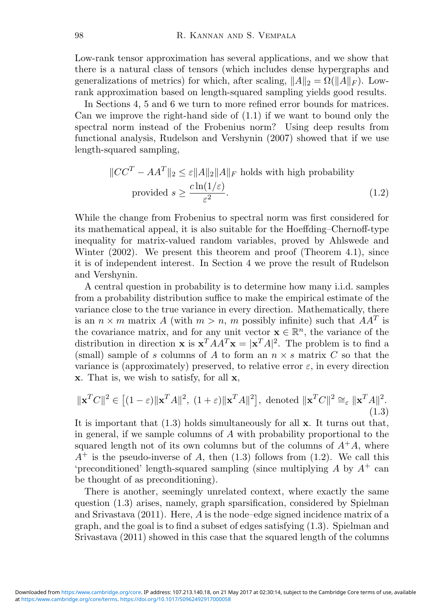Low-rank tensor approximation has several applications, and we show that there is a natural class of tensors (which includes dense hypergraphs and generalizations of metrics) for which, after scaling,  $||A||_2 = \Omega(||A||_F)$ . Lowrank approximation based on length-squared sampling yields good results.

In Sections 4, 5 and 6 we turn to more refined error bounds for matrices. Can we improve the right-hand side of  $(1.1)$  if we want to bound only the spectral norm instead of the Frobenius norm? Using deep results from functional analysis, Rudelson and Vershynin (2007) showed that if we use length-squared sampling,

$$
||CCT - AAT||2 \le \varepsilon ||A||2 ||A||F holds with high probabilityprovided  $s \ge \frac{c \ln(1/\varepsilon)}{\varepsilon^2}$ . (1.2)
$$

While the change from Frobenius to spectral norm was first considered for its mathematical appeal, it is also suitable for the Hoeffding–Chernoff-type inequality for matrix-valued random variables, proved by Ahlswede and Winter (2002). We present this theorem and proof (Theorem 4.1), since it is of independent interest. In Section 4 we prove the result of Rudelson and Vershynin.

A central question in probability is to determine how many i.i.d. samples from a probability distribution suffice to make the empirical estimate of the variance close to the true variance in every direction. Mathematically, there is an  $n \times m$  matrix A (with  $m > n$ , m possibly infinite) such that  $AA<sup>T</sup>$  is the covariance matrix, and for any unit vector  $\mathbf{x} \in \mathbb{R}^n$ , the variance of the distribution in direction **x** is  $\mathbf{x}^T A A^T \mathbf{x} = |\mathbf{x}^T A|^2$ . The problem is to find a (small) sample of s columns of A to form an  $n \times s$  matrix C so that the variance is (approximately) preserved, to relative error  $\varepsilon$ , in every direction x. That is, we wish to satisfy, for all x,

$$
\|\mathbf{x}^T C\|^2 \in \left[ (1 - \varepsilon) \|\mathbf{x}^T A\|^2, \ (1 + \varepsilon) \|\mathbf{x}^T A\|^2 \right], \text{ denoted } \|\mathbf{x}^T C\|^2 \cong_{\varepsilon} \|\mathbf{x}^T A\|^2. \tag{1.3}
$$

It is important that  $(1.3)$  holds simultaneously for all  $x$ . It turns out that, in general, if we sample columns of A with probability proportional to the squared length not of its own columns but of the columns of  $A^+A$ , where  $A^+$  is the pseudo-inverse of A, then (1.3) follows from (1.2). We call this 'preconditioned' length-squared sampling (since multiplying  $A$  by  $A^+$  can be thought of as preconditioning).

There is another, seemingly unrelated context, where exactly the same question (1.3) arises, namely, graph sparsification, considered by Spielman and Srivastava (2011). Here, A is the node–edge signed incidence matrix of a graph, and the goal is to find a subset of edges satisfying (1.3). Spielman and Srivastava (2011) showed in this case that the squared length of the columns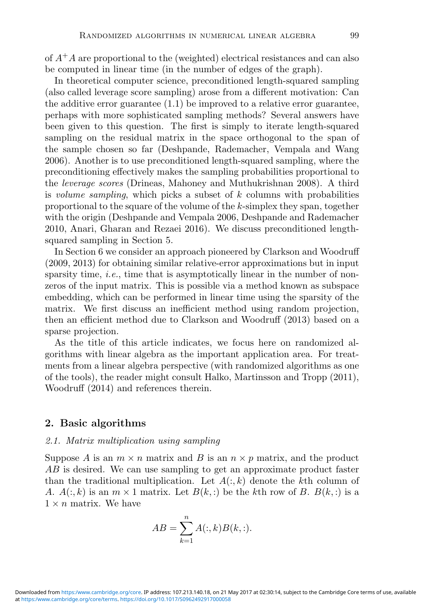of  $A^+A$  are proportional to the (weighted) electrical resistances and can also be computed in linear time (in the number of edges of the graph).

In theoretical computer science, preconditioned length-squared sampling (also called leverage score sampling) arose from a different motivation: Can the additive error guarantee (1.1) be improved to a relative error guarantee, perhaps with more sophisticated sampling methods? Several answers have been given to this question. The first is simply to iterate length-squared sampling on the residual matrix in the space orthogonal to the span of the sample chosen so far (Deshpande, Rademacher, Vempala and Wang 2006). Another is to use preconditioned length-squared sampling, where the preconditioning effectively makes the sampling probabilities proportional to the leverage scores (Drineas, Mahoney and Muthukrishnan 2008). A third is volume sampling, which picks a subset of  $k$  columns with probabilities proportional to the square of the volume of the k-simplex they span, together with the origin (Deshpande and Vempala 2006, Deshpande and Rademacher 2010, Anari, Gharan and Rezaei 2016). We discuss preconditioned lengthsquared sampling in Section 5.

In Section 6 we consider an approach pioneered by Clarkson and Woodruff (2009, 2013) for obtaining similar relative-error approximations but in input sparsity time, *i.e.*, time that is asymptotically linear in the number of nonzeros of the input matrix. This is possible via a method known as subspace embedding, which can be performed in linear time using the sparsity of the matrix. We first discuss an inefficient method using random projection, then an efficient method due to Clarkson and Woodruff (2013) based on a sparse projection.

As the title of this article indicates, we focus here on randomized algorithms with linear algebra as the important application area. For treatments from a linear algebra perspective (with randomized algorithms as one of the tools), the reader might consult Halko, Martinsson and Tropp (2011), Woodruff (2014) and references therein.

## 2. Basic algorithms

#### 2.1. Matrix multiplication using sampling

Suppose A is an  $m \times n$  matrix and B is an  $n \times p$  matrix, and the product AB is desired. We can use sampling to get an approximate product faster than the traditional multiplication. Let  $A(:, k)$  denote the kth column of A.  $A(:, k)$  is an  $m \times 1$  matrix. Let  $B(k,:)$  be the kth row of B.  $B(k,:)$  is a  $1 \times n$  matrix. We have

$$
AB = \sum_{k=1}^{n} A(:,k)B(k,:).
$$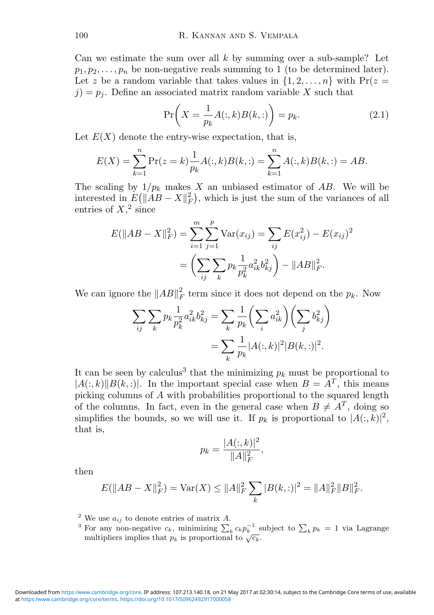Can we estimate the sum over all  $k$  by summing over a sub-sample? Let  $p_1, p_2, \ldots, p_n$  be non-negative reals summing to 1 (to be determined later). Let z be a random variable that takes values in  $\{1, 2, \ldots, n\}$  with  $Pr(z =$  $j$ ) =  $p_i$ . Define an associated matrix random variable X such that

$$
\Pr\left(X = \frac{1}{p_k}A(:,k)B(k,:)\right) = p_k. \tag{2.1}
$$

Let  $E(X)$  denote the entry-wise expectation, that is,

$$
E(X) = \sum_{k=1}^{n} \Pr(z = k) \frac{1}{p_k} A(:,k) B(k,:) = \sum_{k=1}^{n} A(:,k) B(k,:) = AB.
$$

The scaling by  $1/p_k$  makes X an unbiased estimator of AB. We will be interested in  $E(||AB - X||_F^2)$  $\binom{2}{F}$ , which is just the sum of the variances of all entries of  $X$ <sup>2</sup>, since

$$
E(||AB - X||_F^2) = \sum_{i=1}^m \sum_{j=1}^p \text{Var}(x_{ij}) = \sum_{ij} E(x_{ij}^2) - E(x_{ij})^2
$$
  
= 
$$
\left(\sum_{ij} \sum_k p_k \frac{1}{p_k^2} a_{ik}^2 b_{kj}^2\right) - ||AB||_F^2.
$$

We can ignore the  $||AB||_F^2$  $\frac{2}{F}$  term since it does not depend on the  $p_k$ . Now

$$
\sum_{ij} \sum_{k} p_k \frac{1}{p_k^2} a_{ik}^2 b_{kj}^2 = \sum_{k} \frac{1}{p_k} \left( \sum_{i} a_{ik}^2 \right) \left( \sum_{j} b_{kj}^2 \right)
$$

$$
= \sum_{k} \frac{1}{p_k} |A(:,k)|^2 |B(k,:)|^2.
$$

It can be seen by calculus<sup>3</sup> that the minimizing  $p_k$  must be proportional to  $|A(:, k)||B(k, :)|$ . In the important special case when  $B = A<sup>T</sup>$ , this means picking columns of A with probabilities proportional to the squared length of the columns. In fact, even in the general case when  $B \neq A<sup>T</sup>$ , doing so simplifies the bounds, so we will use it. If  $p_k$  is proportional to  $|A(:, k)|^2$ , that is,

$$
p_k = \frac{|A(:,k)|^2}{\|A\|_F^2},
$$

then

$$
E(||AB - X||_F^2) = \text{Var}(X) \le ||A||_F^2 \sum_k |B(k, :)|^2 = ||A||_F^2 ||B||_F^2.
$$

<sup>2</sup> We use  $a_{ij}$  to denote entries of matrix A.

<sup>3</sup> For any non-negative  $c_k$ , minimizing  $\sum_k c_k p_k^{-1}$  subject to  $\sum_k p_k = 1$  via Lagrange multipliers implies that  $p_k$  is proportional to  $\sqrt{c_k}$ .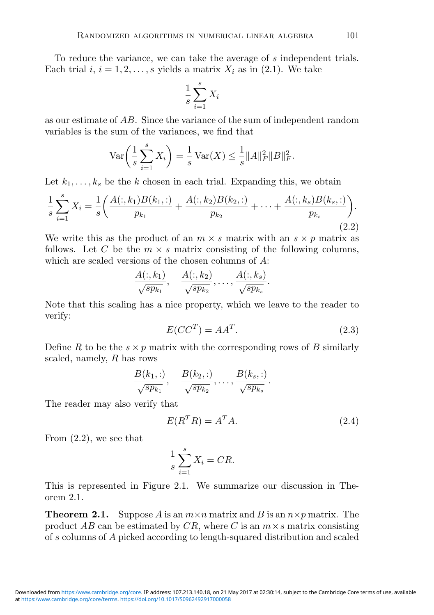To reduce the variance, we can take the average of s independent trials. Each trial i,  $i = 1, 2, \ldots, s$  yields a matrix  $X_i$  as in (2.1). We take

$$
\frac{1}{s} \sum_{i=1}^{s} X_i
$$

as our estimate of AB. Since the variance of the sum of independent random variables is the sum of the variances, we find that

$$
\text{Var}\bigg(\frac{1}{s}\sum_{i=1}^{s}X_i\bigg) = \frac{1}{s}\text{Var}(X) \le \frac{1}{s}\|A\|_F^2\|B\|_F^2.
$$

Let  $k_1, \ldots, k_s$  be the k chosen in each trial. Expanding this, we obtain

$$
\frac{1}{s}\sum_{i=1}^{s}X_{i} = \frac{1}{s}\bigg(\frac{A(:,k_{1})B(k_{1},:)}{p_{k_{1}}} + \frac{A(:,k_{2})B(k_{2},:)}{p_{k_{2}}} + \cdots + \frac{A(:,k_{s})B(k_{s},:)}{p_{k_{s}}}\bigg).
$$
\n(2.2)

We write this as the product of an  $m \times s$  matrix with an  $s \times p$  matrix as follows. Let C be the  $m \times s$  matrix consisting of the following columns, which are scaled versions of the chosen columns of A:

$$
\frac{A(:,k_1)}{\sqrt{sp_{k_1}}}, \quad \frac{A(:,k_2)}{\sqrt{sp_{k_2}}}, \ldots, \frac{A(:,k_s)}{\sqrt{sp_{k_s}}}.
$$

Note that this scaling has a nice property, which we leave to the reader to verify:

$$
E(CC^T) = AA^T.
$$
\n(2.3)

Define R to be the  $s \times p$  matrix with the corresponding rows of B similarly scaled, namely, R has rows

$$
\frac{B(k_1, :)}{\sqrt{sp_{k_1}}}, \quad \frac{B(k_2, :)}{\sqrt{sp_{k_2}}}, \ldots, \frac{B(k_s, :)}{\sqrt{sp_{k_s}}}.
$$

The reader may also verify that

$$
E(R^T R) = A^T A. \tag{2.4}
$$

From (2.2), we see that

$$
\frac{1}{s} \sum_{i=1}^{s} X_i = CR.
$$

This is represented in Figure 2.1. We summarize our discussion in Theorem 2.1.

**Theorem 2.1.** Suppose A is an  $m \times n$  matrix and B is an  $n \times p$  matrix. The product AB can be estimated by CR, where C is an  $m \times s$  matrix consisting of s columns of A picked according to length-squared distribution and scaled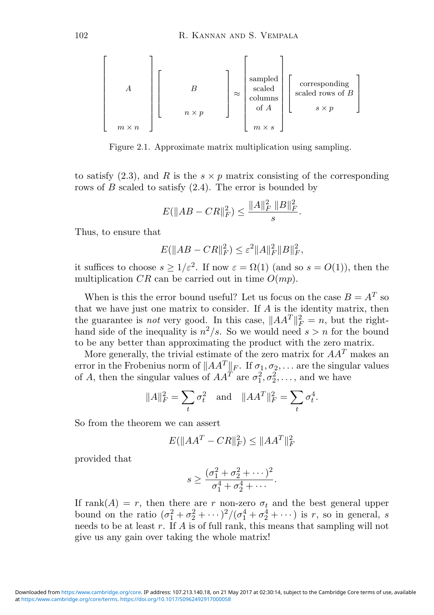$$
\begin{bmatrix}\nA \\
B \\
\vdots \\
m \times n\n\end{bmatrix}\n\begin{bmatrix}\nB \\
\vdots \\
B\n\end{bmatrix}\n\approx\n\begin{bmatrix}\n\text{sampled} \\
\text{scaled} \\
\text{columns} \\
\text{of } A \\
\vdots \\
m \times s\n\end{bmatrix}\n\begin{bmatrix}\n\text{corresponding} \\
\text{scaled rows of } B \\
s \times p\n\end{bmatrix}
$$

Figure 2.1. Approximate matrix multiplication using sampling.

to satisfy (2.3), and R is the  $s \times p$  matrix consisting of the corresponding rows of  $B$  scaled to satisfy  $(2.4)$ . The error is bounded by

$$
E(||AB - CR||_F^2) \le \frac{||A||_F^2 ||B||_F^2}{s}.
$$

Thus, to ensure that

$$
E(||AB - CR||_F^2) \le \varepsilon^2 ||A||_F^2 ||B||_F^2,
$$

it suffices to choose  $s \geq 1/\varepsilon^2$ . If now  $\varepsilon = \Omega(1)$  (and so  $s = O(1)$ ), then the multiplication  $CR$  can be carried out in time  $O(mp)$ .

When is this the error bound useful? Let us focus on the case  $B = A<sup>T</sup>$  so that we have just one matrix to consider. If  $A$  is the identity matrix, then the guarantee is *not* very good. In this case,  $||AA^T||_F^2 = n$ , but the righthand side of the inequality is  $n^2/s$ . So we would need  $s > n$  for the bound to be any better than approximating the product with the zero matrix.

More generally, the trivial estimate of the zero matrix for  $AA<sup>T</sup>$  makes an error in the Frobenius norm of  $\|AA^T\|_F$ . If  $\sigma_1, \sigma_2, \ldots$  are the singular values of A, then the singular values of  $AA<sup>T</sup>$  are  $\sigma_1^2, \sigma_2^2, \ldots$ , and we have

$$
||A||_F^2 = \sum_t \sigma_t^2
$$
 and  $||AA^T||_F^2 = \sum_t \sigma_t^4$ .

So from the theorem we can assert

$$
E(||AA^T - CR||_F^2) \le ||AA^T||_F^2
$$

provided that

$$
s \ge \frac{(\sigma_1^2 + \sigma_2^2 + \cdots)^2}{\sigma_1^4 + \sigma_2^4 + \cdots}.
$$

If rank $(A) = r$ , then there are r non-zero  $\sigma_t$  and the best general upper bound on the ratio  $(\sigma_1^2 + \sigma_2^2 + \cdots)^2/(\sigma_1^4 + \sigma_2^4 + \cdots)$  is r, so in general, s needs to be at least  $r$ . If  $\tilde{A}$  is of full rank, this means that sampling will not give us any gain over taking the whole matrix!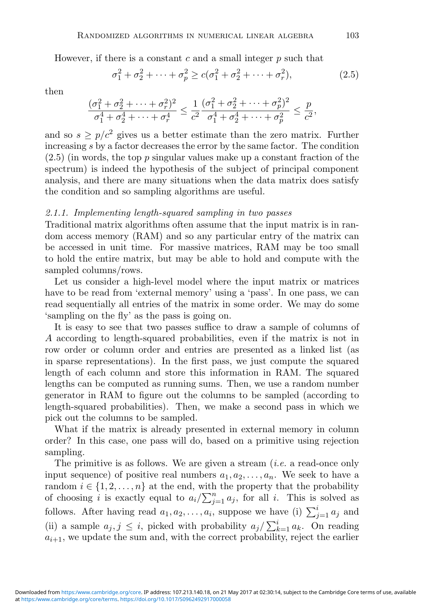However, if there is a constant c and a small integer  $p$  such that

$$
\sigma_1^2 + \sigma_2^2 + \dots + \sigma_p^2 \ge c(\sigma_1^2 + \sigma_2^2 + \dots + \sigma_r^2),
$$
 (2.5)

then

$$
\frac{(\sigma_1^2 + \sigma_2^2 + \dots + \sigma_r^2)^2}{\sigma_1^4 + \sigma_2^4 + \dots + \sigma_r^4} \le \frac{1}{c^2} \frac{(\sigma_1^2 + \sigma_2^2 + \dots + \sigma_p^2)^2}{\sigma_1^4 + \sigma_2^4 + \dots + \sigma_p^2} \le \frac{p}{c^2},
$$

and so  $s \geq p/c^2$  gives us a better estimate than the zero matrix. Further increasing s by a factor decreases the error by the same factor. The condition  $(2.5)$  (in words, the top p singular values make up a constant fraction of the spectrum) is indeed the hypothesis of the subject of principal component analysis, and there are many situations when the data matrix does satisfy the condition and so sampling algorithms are useful.

#### 2.1.1. Implementing length-squared sampling in two passes

Traditional matrix algorithms often assume that the input matrix is in random access memory (RAM) and so any particular entry of the matrix can be accessed in unit time. For massive matrices, RAM may be too small to hold the entire matrix, but may be able to hold and compute with the sampled columns/rows.

Let us consider a high-level model where the input matrix or matrices have to be read from 'external memory' using a 'pass'. In one pass, we can read sequentially all entries of the matrix in some order. We may do some 'sampling on the fly' as the pass is going on.

It is easy to see that two passes suffice to draw a sample of columns of A according to length-squared probabilities, even if the matrix is not in row order or column order and entries are presented as a linked list (as in sparse representations). In the first pass, we just compute the squared length of each column and store this information in RAM. The squared lengths can be computed as running sums. Then, we use a random number generator in RAM to figure out the columns to be sampled (according to length-squared probabilities). Then, we make a second pass in which we pick out the columns to be sampled.

What if the matrix is already presented in external memory in column order? In this case, one pass will do, based on a primitive using rejection sampling.

The primitive is as follows. We are given a stream  $(i.e.$  a read-once only input sequence) of positive real numbers  $a_1, a_2, \ldots, a_n$ . We seek to have a random  $i \in \{1, 2, ..., n\}$  at the end, with the property that the probability of choosing i is exactly equal to  $a_i/\sum_{j=1}^n a_j$ , for all i. This is solved as follows. After having read  $a_1, a_2, \ldots, a_i$ , suppose we have (i)  $\sum_{j=1}^i a_j$  and (ii) a sample  $a_j, j \leq i$ , picked with probability  $a_j / \sum_{k=1}^i a_k$ . On reading  $a_{i+1}$ , we update the sum and, with the correct probability, reject the earlier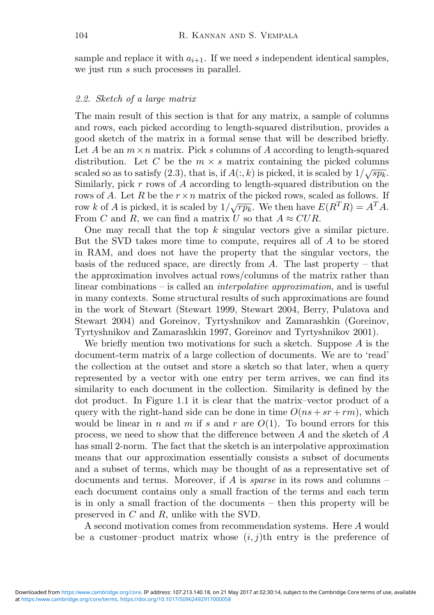sample and replace it with  $a_{i+1}$ . If we need s independent identical samples, we just run s such processes in parallel.

#### 2.2. Sketch of a large matrix

The main result of this section is that for any matrix, a sample of columns and rows, each picked according to length-squared distribution, provides a good sketch of the matrix in a formal sense that will be described briefly. Let A be an  $m \times n$  matrix. Pick s columns of A according to length-squared distribution. Let C be the  $m \times s$  matrix containing the picked columns scaled so as to satisfy (2.3), that is, if  $A(:, k)$  is picked, it is scaled by  $1/\sqrt{sp_k}$ . Similarly, pick r rows of A according to length-squared distribution on the rows of A. Let R be the  $r \times n$  matrix of the picked rows, scaled as follows. If rows of A. Let *R* be the  $r \times n$  matrix of the picked rows, scaled as follows. If  $r \times n$  matrix of the picked rows, scaled as follows. From C and R, we can find a matrix U so that  $A \approx CUR$ .

One may recall that the top  $k$  singular vectors give a similar picture. But the SVD takes more time to compute, requires all of A to be stored in RAM, and does not have the property that the singular vectors, the basis of the reduced space, are directly from  $A$ . The last property – that the approximation involves actual rows/columns of the matrix rather than linear combinations – is called an *interpolative approximation*, and is useful in many contexts. Some structural results of such approximations are found in the work of Stewart (Stewart 1999, Stewart 2004, Berry, Pulatova and Stewart 2004) and Goreinov, Tyrtyshnikov and Zamarashkin (Goreinov, Tyrtyshnikov and Zamarashkin 1997, Goreinov and Tyrtyshnikov 2001).

We briefly mention two motivations for such a sketch. Suppose  $A$  is the document-term matrix of a large collection of documents. We are to 'read' the collection at the outset and store a sketch so that later, when a query represented by a vector with one entry per term arrives, we can find its similarity to each document in the collection. Similarity is defined by the dot product. In Figure 1.1 it is clear that the matrix–vector product of a query with the right-hand side can be done in time  $O(ns + sr + rm)$ , which would be linear in n and m if s and r are  $O(1)$ . To bound errors for this process, we need to show that the difference between A and the sketch of A has small 2-norm. The fact that the sketch is an interpolative approximation means that our approximation essentially consists a subset of documents and a subset of terms, which may be thought of as a representative set of documents and terms. Moreover, if  $\vec{A}$  is *sparse* in its rows and columns – each document contains only a small fraction of the terms and each term is in only a small fraction of the documents – then this property will be preserved in C and R, unlike with the SVD.

A second motivation comes from recommendation systems. Here A would be a customer–product matrix whose  $(i, j)$ th entry is the preference of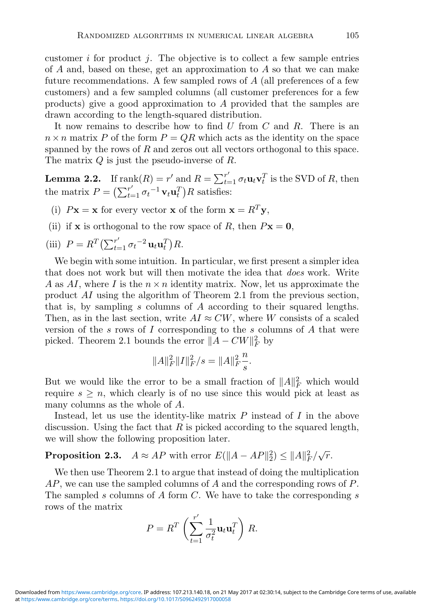customer i for product j. The objective is to collect a few sample entries of A and, based on these, get an approximation to A so that we can make future recommendations. A few sampled rows of  $A$  (all preferences of a few customers) and a few sampled columns (all customer preferences for a few products) give a good approximation to A provided that the samples are drawn according to the length-squared distribution.

It now remains to describe how to find  $U$  from  $C$  and  $R$ . There is an  $n \times n$  matrix P of the form  $P = QR$  which acts as the identity on the space spanned by the rows of  $R$  and zeros out all vectors orthogonal to this space. The matrix Q is just the pseudo-inverse of R.

**Lemma 2.2.** If  $\text{rank}(R) = r'$  and  $R = \sum_{t=1}^{r'} \sigma_t \mathbf{u}_t \mathbf{v}_t^T$  is the SVD of R, then the matrix  $P = \left(\sum_{t=1}^{r'} {\sigma_t}^{-1} \mathbf{v}_t \mathbf{u}_t^T\right) R$  satisfies:

- (i)  $P\mathbf{x} = \mathbf{x}$  for every vector **x** of the form  $\mathbf{x} = R^T \mathbf{y}$ ,
- (ii) if **x** is orthogonal to the row space of R, then  $P$ **x** = 0,

(iii) 
$$
P = R^T \left( \sum_{t=1}^{r'} \sigma_t^{-2} \mathbf{u}_t \mathbf{u}_t^T \right) R.
$$

We begin with some intuition. In particular, we first present a simpler idea that does not work but will then motivate the idea that does work. Write A as AI, where I is the  $n \times n$  identity matrix. Now, let us approximate the product AI using the algorithm of Theorem 2.1 from the previous section, that is, by sampling s columns of A according to their squared lengths. Then, as in the last section, write  $AI \approx CW$ , where W consists of a scaled version of the s rows of I corresponding to the s columns of A that were picked. Theorem 2.1 bounds the error  $||A - CW||_F^2$  by

$$
||A||_F^2 ||I||_F^2 / s = ||A||_F^2 \frac{n}{s}.
$$

But we would like the error to be a small fraction of  $||A||_F^2$  which would require  $s \geq n$ , which clearly is of no use since this would pick at least as many columns as the whole of A.

Instead, let us use the identity-like matrix  $P$  instead of  $I$  in the above discussion. Using the fact that  $R$  is picked according to the squared length, we will show the following proposition later.

**Proposition 2.3.**  $A \approx AP$  with error  $E(\|A - AP\|_2^2) \leq \|A\|_F^2 / \sqrt{r}$ .

We then use Theorem 2.1 to argue that instead of doing the multiplication  $AP$ , we can use the sampled columns of A and the corresponding rows of P. The sampled s columns of A form C. We have to take the corresponding s rows of the matrix

$$
P = R^T \left( \sum_{t=1}^{r'} \frac{1}{\sigma_t^2} \mathbf{u}_t \mathbf{u}_t^T \right) R.
$$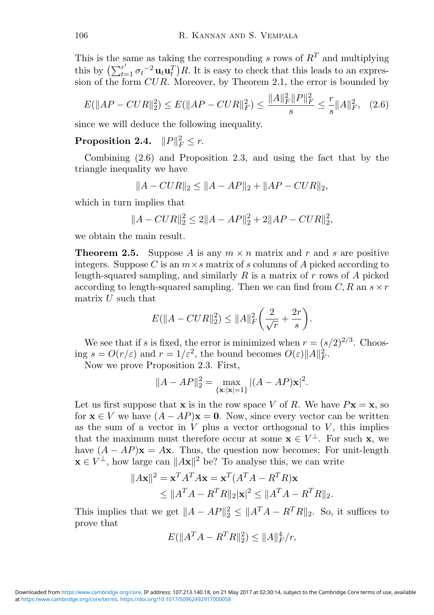This is the same as taking the corresponding s rows of  $R^T$  and multiplying this by  $\left(\sum_{t=1}^{r'} {\sigma_t}^{-2} \mathbf{u}_t \mathbf{u}_t^T\right) R$ . It is easy to check that this leads to an expression of the form  $CUR$ . Moreover, by Theorem 2.1, the error is bounded by

$$
E(||AP - CUR||_2^2) \le E(||AP - CUR||_F^2) \le \frac{||A||_F^2 ||P||_F^2}{s} \le \frac{r}{s} ||A||_F^2, \quad (2.6)
$$

since we will deduce the following inequality.

 $\textbf{Proposition 2.4.} \quad \|P\|_F^2 \leq r.$ 

Combining (2.6) and Proposition 2.3, and using the fact that by the triangle inequality we have

$$
||A-CUR||_2 \le ||A-AP||_2 + ||AP-CUR||_2,
$$

which in turn implies that

$$
||A-CUR||_2^2 \le 2||A-AP||_2^2 + 2||AP-CUR||_2^2,
$$

we obtain the main result.

**Theorem 2.5.** Suppose A is any  $m \times n$  matrix and r and s are positive integers. Suppose C is an  $m \times s$  matrix of s columns of A picked according to length-squared sampling, and similarly R is a matrix of r rows of A picked according to length-squared sampling. Then we can find from  $C, R$  an  $s \times r$ matrix  $U$  such that

$$
E(||A-CUR||_2^2) \le ||A||_F^2 \left(\frac{2}{\sqrt{r}} + \frac{2r}{s}\right).
$$

We see that if s is fixed, the error is minimized when  $r = (s/2)^{2/3}$ . Choosing  $s = O(r/\varepsilon)$  and  $r = 1/\varepsilon^2$ , the bound becomes  $O(\varepsilon) ||A||_F^2$ .

Now we prove Proposition 2.3. First,

$$
||A - AP||_2^2 = \max_{\{\mathbf{x}: |\mathbf{x}| = 1\}} |(A - AP)\mathbf{x}|^2.
$$

Let us first suppose that **x** is in the row space V of R. We have  $P$ **x** = **x**, so for  $\mathbf{x} \in V$  we have  $(A - AP)\mathbf{x} = \mathbf{0}$ . Now, since every vector can be written as the sum of a vector in  $V$  plus a vector orthogonal to  $V$ , this implies that the maximum must therefore occur at some  $\mathbf{x} \in V^{\perp}$ . For such **x**, we have  $(A - AP)x = Ax$ . Thus, the question now becomes: For unit-length  $\mathbf{x} \in V^{\perp}$ , how large can  $||Ax||^2$  be? To analyse this, we can write

$$
||A\mathbf{x}||^2 = \mathbf{x}^T A^T A \mathbf{x} = \mathbf{x}^T (A^T A - R^T R) \mathbf{x}
$$
  
\n
$$
\leq ||A^T A - R^T R||_2 |\mathbf{x}|^2 \leq ||A^T A - R^T R||_2.
$$

This implies that we get  $||A - AP||_2^2 \le ||A^T A - R^T R||_2$ . So, it suffices to prove that

$$
E(||A^T A - R^T R||_2^2) \le ||A||_F^4 / r,
$$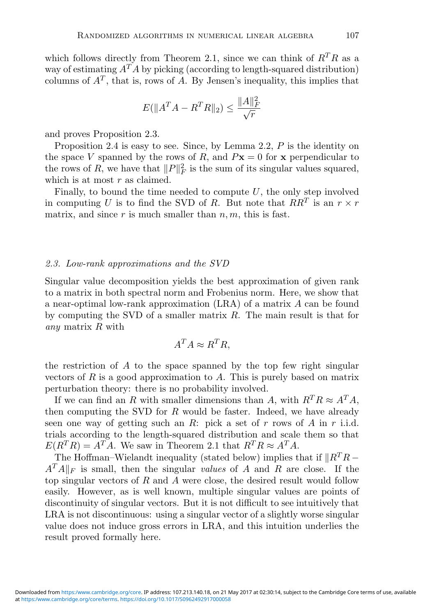which follows directly from Theorem 2.1, since we can think of  $R^{T}R$  as a way of estimating  $A^T A$  by picking (according to length-squared distribution) columns of  $A<sup>T</sup>$ , that is, rows of A. By Jensen's inequality, this implies that

$$
E(\|A^T A - R^T R\|_2) \le \frac{\|A\|_F^2}{\sqrt{r}}
$$

and proves Proposition 2.3.

Proposition 2.4 is easy to see. Since, by Lemma 2.2,  $P$  is the identity on the space V spanned by the rows of R, and  $P\mathbf{x} = 0$  for x perpendicular to the rows of R, we have that  $||P||_F^2$  is the sum of its singular values squared, which is at most  $r$  as claimed.

Finally, to bound the time needed to compute  $U$ , the only step involved in computing U is to find the SVD of R. But note that  $RR^T$  is an  $r \times r$ matrix, and since  $r$  is much smaller than  $n, m$ , this is fast.

#### 2.3. Low-rank approximations and the SVD

Singular value decomposition yields the best approximation of given rank to a matrix in both spectral norm and Frobenius norm. Here, we show that a near-optimal low-rank approximation (LRA) of a matrix A can be found by computing the SVD of a smaller matrix  $R$ . The main result is that for any matrix R with

$$
A^T A \approx R^T R,
$$

the restriction of  $A$  to the space spanned by the top few right singular vectors of R is a good approximation to A. This is purely based on matrix perturbation theory: there is no probability involved.

If we can find an R with smaller dimensions than A, with  $R^T R \approx A^T A$ , then computing the SVD for  $R$  would be faster. Indeed, we have already seen one way of getting such an R: pick a set of  $r$  rows of  $A$  in  $r$  i.i.d. trials according to the length-squared distribution and scale them so that  $E(R^TR) = A^T A$ . We saw in Theorem 2.1 that  $R^TR \approx A^T A$ .

The Hoffman–Wielandt inequality (stated below) implies that if  $\|R^T R A^T A||_F$  is small, then the singular values of A and R are close. If the top singular vectors of  $R$  and  $A$  were close, the desired result would follow easily. However, as is well known, multiple singular values are points of discontinuity of singular vectors. But it is not difficult to see intuitively that LRA is not discontinuous: using a singular vector of a slightly worse singular value does not induce gross errors in LRA, and this intuition underlies the result proved formally here.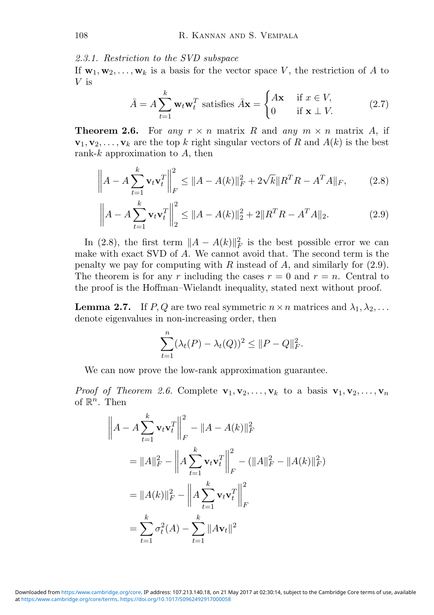2.3.1. Restriction to the SVD subspace

If  $\mathbf{w}_1, \mathbf{w}_2, \ldots, \mathbf{w}_k$  is a basis for the vector space V, the restriction of A to V is

$$
\bar{A} = A \sum_{t=1}^{k} \mathbf{w}_t \mathbf{w}_t^T \text{ satisfies } \bar{A} \mathbf{x} = \begin{cases} A \mathbf{x} & \text{if } x \in V, \\ 0 & \text{if } \mathbf{x} \perp V. \end{cases} \tag{2.7}
$$

**Theorem 2.6.** For any  $r \times n$  matrix R and any  $m \times n$  matrix A, if  $\mathbf{v}_1, \mathbf{v}_2, \ldots, \mathbf{v}_k$  are the top k right singular vectors of R and  $A(k)$  is the best rank-k approximation to  $A$ , then

$$
\left\| A - A \sum_{t=1}^{k} \mathbf{v}_{t} \mathbf{v}_{t}^{T} \right\|_{F}^{2} \leq \| A - A(k) \|_{F}^{2} + 2\sqrt{k} \| R^{T} R - A^{T} A \|_{F}, \qquad (2.8)
$$

$$
\left\| A - A \sum_{t=1}^{k} \mathbf{v}_{t} \mathbf{v}_{t}^{T} \right\|_{2}^{2} \leq \| A - A(k) \|_{2}^{2} + 2 \| R^{T} R - A^{T} A \|_{2}.
$$
 (2.9)

In (2.8), the first term  $||A - A(k)||_F^2$  is the best possible error we can make with exact SVD of A. We cannot avoid that. The second term is the penalty we pay for computing with R instead of A, and similarly for  $(2.9)$ . The theorem is for any r including the cases  $r = 0$  and  $r = n$ . Central to the proof is the Hoffman–Wielandt inequality, stated next without proof.

**Lemma 2.7.** If P, Q are two real symmetric  $n \times n$  matrices and  $\lambda_1, \lambda_2, \ldots$ denote eigenvalues in non-increasing order, then

$$
\sum_{t=1}^{n} (\lambda_t(P) - \lambda_t(Q))^2 \leq ||P - Q||_F^2.
$$

We can now prove the low-rank approximation guarantee.

*Proof of Theorem 2.6.* Complete  $\mathbf{v}_1, \mathbf{v}_2, \ldots, \mathbf{v}_k$  to a basis  $\mathbf{v}_1, \mathbf{v}_2, \ldots, \mathbf{v}_n$ of  $\mathbb{R}^n$ . Then

$$
\|A - A \sum_{t=1}^{k} \mathbf{v}_{t} \mathbf{v}_{t}^{T} \|_{F}^{2} - \|A - A(k)\|_{F}^{2}
$$
  
\n
$$
= \|A\|_{F}^{2} - \|A \sum_{t=1}^{k} \mathbf{v}_{t} \mathbf{v}_{t}^{T} \|_{F}^{2} - (\|A\|_{F}^{2} - \|A(k)\|_{F}^{2})
$$
  
\n
$$
= \|A(k)\|_{F}^{2} - \|A \sum_{t=1}^{k} \mathbf{v}_{t} \mathbf{v}_{t}^{T} \|_{F}^{2}
$$
  
\n
$$
= \sum_{t=1}^{k} \sigma_{t}^{2}(A) - \sum_{t=1}^{k} \|A\mathbf{v}_{t} \|^{2}
$$

at [https:/www.cambridge.org/core/terms.](https:/www.cambridge.org/core/terms) <https://doi.org/10.1017/S0962492917000058> Downloaded from <https:/www.cambridge.org/core>. IP address: 107.213.140.18, on 21 May 2017 at 02:30:14, subject to the Cambridge Core terms of use, available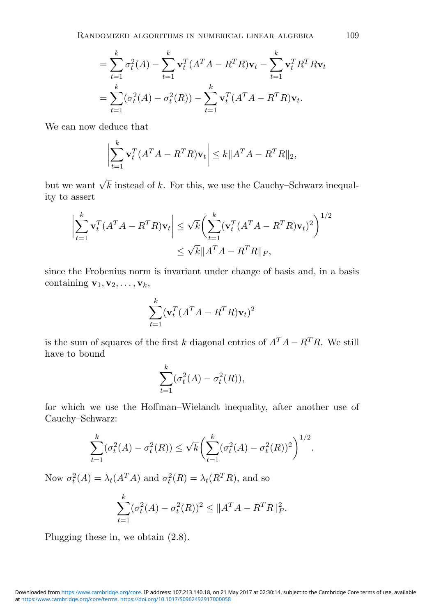$$
= \sum_{t=1}^{k} \sigma_t^2(A) - \sum_{t=1}^{k} \mathbf{v}_t^T (A^T A - R^T R) \mathbf{v}_t - \sum_{t=1}^{k} \mathbf{v}_t^T R^T R \mathbf{v}_t
$$
  
= 
$$
\sum_{t=1}^{k} (\sigma_t^2(A) - \sigma_t^2(R)) - \sum_{t=1}^{k} \mathbf{v}_t^T (A^T A - R^T R) \mathbf{v}_t.
$$

We can now deduce that

$$
\left| \sum_{t=1}^{k} \mathbf{v}_t^T (A^T A - R^T R) \mathbf{v}_t \right| \le k \|A^T A - R^T R\|_2,
$$

but we want  $\sqrt{k}$  instead of k. For this, we use the Cauchy–Schwarz inequality to assert

$$
\left| \sum_{t=1}^{k} \mathbf{v}_t^T (A^T A - R^T R) \mathbf{v}_t \right| \le \sqrt{k} \left( \sum_{t=1}^{k} (\mathbf{v}_t^T (A^T A - R^T R) \mathbf{v}_t)^2 \right)^{1/2}
$$
  

$$
\le \sqrt{k} \|A^T A - R^T R\|_F,
$$

since the Frobenius norm is invariant under change of basis and, in a basis containing  $\mathbf{v}_1, \mathbf{v}_2, \ldots, \mathbf{v}_k$ ,

$$
\sum_{t=1}^{k} (\mathbf{v}_t^T (A^T A - R^T R) \mathbf{v}_t)^2
$$

is the sum of squares of the first k diagonal entries of  $A^T A - R^T R$ . We still have to bound

$$
\sum_{t=1}^{k} (\sigma_t^2(A) - \sigma_t^2(R)),
$$

for which we use the Hoffman–Wielandt inequality, after another use of Cauchy–Schwarz:

$$
\sum_{t=1}^{k} (\sigma_t^2(A) - \sigma_t^2(R)) \le \sqrt{k} \left( \sum_{t=1}^{k} (\sigma_t^2(A) - \sigma_t^2(R))^2 \right)^{1/2}.
$$

Now  $\sigma_t^2(A) = \lambda_t(A^T A)$  and  $\sigma_t^2(R) = \lambda_t(R^T R)$ , and so

$$
\sum_{t=1}^{k} (\sigma_t^2(A) - \sigma_t^2(R))^2 \le ||A^T A - R^T R||_F^2.
$$

Plugging these in, we obtain (2.8).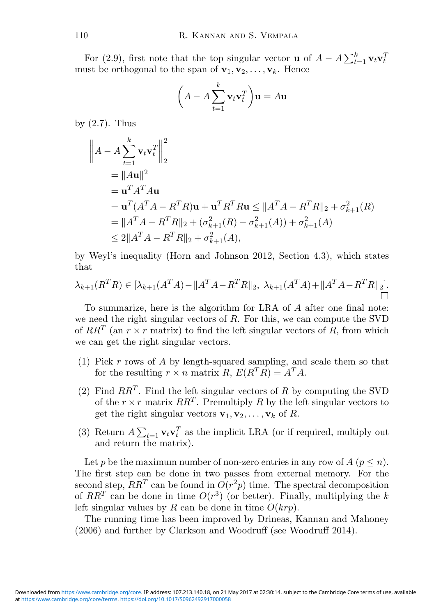For (2.9), first note that the top singular vector **u** of  $A - A \sum_{t=1}^{k} \mathbf{v}_t \mathbf{v}_t^T$ must be orthogonal to the span of  $\mathbf{v}_1, \mathbf{v}_2, \ldots, \mathbf{v}_k$ . Hence

$$
\left(A - A \sum_{t=1}^{k} \mathbf{v}_t \mathbf{v}_t^T\right) \mathbf{u} = A \mathbf{u}
$$

by  $(2.7)$ . Thus

$$
\|A - A \sum_{t=1}^{k} \mathbf{v}_{t} \mathbf{v}_{t}^{T} \|_{2}^{2}
$$
\n
$$
= \|A\mathbf{u}\|^{2}
$$
\n
$$
= \mathbf{u}^{T} A^{T} A \mathbf{u}
$$
\n
$$
= \mathbf{u}^{T} (A^{T} A - R^{T} R) \mathbf{u} + \mathbf{u}^{T} R^{T} R \mathbf{u} \le \|A^{T} A - R^{T} R \|_{2} + \sigma_{k+1}^{2}(R)
$$
\n
$$
= \|A^{T} A - R^{T} R \|_{2} + (\sigma_{k+1}^{2}(R) - \sigma_{k+1}^{2}(A)) + \sigma_{k+1}^{2}(A)
$$
\n
$$
\le 2 \|A^{T} A - R^{T} R \|_{2} + \sigma_{k+1}^{2}(A),
$$

by Weyl's inequality (Horn and Johnson 2012, Section 4.3), which states that

$$
\lambda_{k+1}(R^T R) \in [\lambda_{k+1}(A^T A) - ||A^T A - R^T R||_2, \ \lambda_{k+1}(A^T A) + ||A^T A - R^T R||_2].
$$

To summarize, here is the algorithm for LRA of A after one final note: we need the right singular vectors of  $R$ . For this, we can compute the SVD of  $RR^T$  (an  $r \times r$  matrix) to find the left singular vectors of R, from which we can get the right singular vectors.

- (1) Pick r rows of A by length-squared sampling, and scale them so that for the resulting  $r \times n$  matrix  $R$ ,  $E(R^T R) = A^T A$ .
- (2) Find  $RR<sup>T</sup>$ . Find the left singular vectors of R by computing the SVD of the  $r \times r$  matrix  $RR^T$ . Premultiply R by the left singular vectors to get the right singular vectors  $\mathbf{v}_1, \mathbf{v}_2, \ldots, \mathbf{v}_k$  of R.
- (3) Return  $A \sum_{t=1} \mathbf{v}_t \mathbf{v}_t^T$  as the implicit LRA (or if required, multiply out and return the matrix).

Let p be the maximum number of non-zero entries in any row of  $A$  ( $p \leq n$ ). The first step can be done in two passes from external memory. For the second step,  $RR^T$  can be found in  $O(r^2p)$  time. The spectral decomposition of  $RR<sup>T</sup>$  can be done in time  $O(r<sup>3</sup>)$  (or better). Finally, multiplying the k left singular values by R can be done in time  $O(krp)$ .

The running time has been improved by Drineas, Kannan and Mahoney (2006) and further by Clarkson and Woodruff (see Woodruff 2014).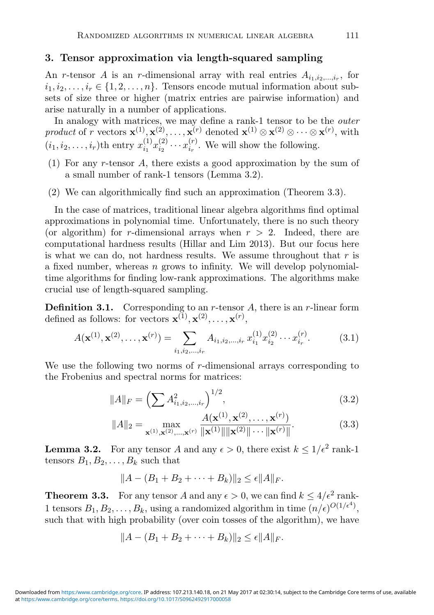## 3. Tensor approximation via length-squared sampling

An *r*-tensor A is an *r*-dimensional array with real entries  $A_{i_1,i_2,\dots,i_r}$ , for  $i_1, i_2, \ldots, i_r \in \{1, 2, \ldots, n\}$ . Tensors encode mutual information about subsets of size three or higher (matrix entries are pairwise information) and arise naturally in a number of applications.

In analogy with matrices, we may define a rank-1 tensor to be the outer product of r vectors  $\mathbf{x}^{(1)}, \mathbf{x}^{(2)}, \ldots, \mathbf{x}^{(r)}$  denoted  $\mathbf{x}^{(1)} \otimes \mathbf{x}^{(2)} \otimes \cdots \otimes \mathbf{x}^{(r)}$ , with  $(i_1, i_2, \ldots, i_r)$ th entry  $x_{i_1}^{(1)}$  $\binom{(1)}{i_1}x_{i_2}^{(2)}$  $x_{i_2}^{(2)} \cdots x_{i_r}^{(r)}$  $i_r^{\prime\prime}$ . We will show the following.

- (1) For any r-tensor A, there exists a good approximation by the sum of a small number of rank-1 tensors (Lemma 3.2).
- (2) We can algorithmically find such an approximation (Theorem 3.3).

In the case of matrices, traditional linear algebra algorithms find optimal approximations in polynomial time. Unfortunately, there is no such theory (or algorithm) for r-dimensional arrays when  $r > 2$ . Indeed, there are computational hardness results (Hillar and Lim 2013). But our focus here is what we can do, not hardness results. We assume throughout that  $r$  is a fixed number, whereas n grows to infinity. We will develop polynomialtime algorithms for finding low-rank approximations. The algorithms make crucial use of length-squared sampling.

**Definition 3.1.** Corresponding to an *r*-tensor  $A$ , there is an *r*-linear form defined as follows: for vectors  $\mathbf{x}^{(1)}, \mathbf{x}^{(2)}, \ldots, \mathbf{x}^{(r)}$ ,

$$
A(\mathbf{x}^{(1)}, \mathbf{x}^{(2)}, \dots, \mathbf{x}^{(r)}) = \sum_{i_1, i_2, \dots, i_r} A_{i_1, i_2, \dots, i_r} x_{i_1}^{(1)} x_{i_2}^{(2)} \cdots x_{i_r}^{(r)}.
$$
(3.1)

We use the following two norms of r-dimensional arrays corresponding to the Frobenius and spectral norms for matrices:

$$
||A||_F = \left(\sum A_{i_1, i_2, \dots, i_r}^2\right)^{1/2},\tag{3.2}
$$

$$
||A||_2 = \max_{\mathbf{x}^{(1)}, \mathbf{x}^{(2)}, \dots, \mathbf{x}^{(r)}} \frac{A(\mathbf{x}^{(1)}, \mathbf{x}^{(2)}, \dots, \mathbf{x}^{(r)})}{\|\mathbf{x}^{(1)}\| \|\mathbf{x}^{(2)}\| \cdots \|\mathbf{x}^{(r)}\|}.
$$
(3.3)

**Lemma 3.2.** For any tensor A and any  $\epsilon > 0$ , there exist  $k \leq 1/\epsilon^2$  rank-1 tensors  $B_1, B_2, \ldots, B_k$  such that

$$
||A - (B_1 + B_2 + \cdots + B_k)||_2 \le \epsilon ||A||_F.
$$

**Theorem 3.3.** For any tensor A and any  $\epsilon > 0$ , we can find  $k \leq 4/\epsilon^2$  rank-1 tensors  $B_1, B_2, \ldots, B_k$ , using a randomized algorithm in time  $(n/\epsilon)^{O(1/\epsilon^4)}$ , such that with high probability (over coin tosses of the algorithm), we have

$$
||A - (B_1 + B_2 + \dots + B_k)||_2 \le \epsilon ||A||_F.
$$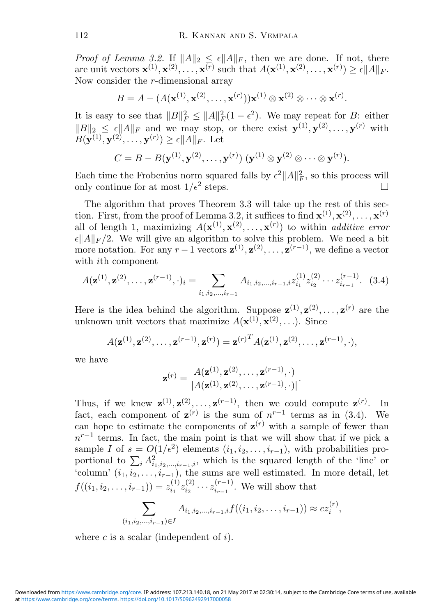*Proof of Lemma 3.2.* If  $||A||_2 \leq \epsilon ||A||_F$ , then we are done. If not, there are unit vectors  $\mathbf{x}^{(1)}, \mathbf{x}^{(2)}, \ldots, \mathbf{x}^{(r)}$  such that  $A(\mathbf{x}^{(1)}, \mathbf{x}^{(2)}, \ldots, \mathbf{x}^{(r)}) \ge \epsilon ||A||_F$ . Now consider the r-dimensional array

$$
B=A-(A(\mathbf{x}^{(1)},\mathbf{x}^{(2)},\ldots,\mathbf{x}^{(r)}))\mathbf{x}^{(1)}\otimes\mathbf{x}^{(2)}\otimes\cdots\otimes\mathbf{x}^{(r)}.
$$

It is easy to see that  $||B||_F^2 \le ||A||_F^2 (1 - \epsilon^2)$ . We may repeat for B: either  $||B||_2 \leq \epsilon ||A||_F$  and we may stop, or there exist  $\mathbf{y}^{(1)}, \mathbf{y}^{(2)}, \ldots, \mathbf{y}^{(r)}$  with  $B(\mathbf{y}^{(1)}, \mathbf{y}^{(2)}, \dots, \mathbf{y}^{(r)}) \ge \epsilon ||A||_F$ . Let

$$
C=B-B(\mathbf{y}^{(1)},\mathbf{y}^{(2)},\ldots,\mathbf{y}^{(r)})~(\mathbf{y}^{(1)}\otimes\mathbf{y}^{(2)}\otimes\cdots\otimes\mathbf{y}^{(r)}).
$$

Each time the Frobenius norm squared falls by  $\epsilon^2 ||A||_F^2$ , so this process will only continue for at most  $1/\epsilon^2$  steps. П

The algorithm that proves Theorem 3.3 will take up the rest of this section. First, from the proof of Lemma 3.2, it suffices to find  $\mathbf{x}^{(1)}, \mathbf{x}^{(2)}, \dots, \mathbf{x}^{(r)}$ all of length 1, maximizing  $A(\mathbf{x}^{(1)}, \mathbf{x}^{(2)}, \dots, \mathbf{x}^{(r)})$  to within *additive error*  $\epsilon ||A||_F / 2$ . We will give an algorithm to solve this problem. We need a bit more notation. For any  $r-1$  vectors  $\mathbf{z}^{(1)}, \mathbf{z}^{(2)}, \ldots, \mathbf{z}^{(r-1)}$ , we define a vector with *i*th component

$$
A(\mathbf{z}^{(1)}, \mathbf{z}^{(2)}, \dots, \mathbf{z}^{(r-1)}, \cdot)_i = \sum_{i_1, i_2, \dots, i_{r-1}} A_{i_1, i_2, \dots, i_{r-1}, i} z_{i_1}^{(1)} z_{i_2}^{(2)} \cdots z_{i_{r-1}}^{(r-1)}.
$$
 (3.4)

Here is the idea behind the algorithm. Suppose  $\mathbf{z}^{(1)}, \mathbf{z}^{(2)}, \ldots, \mathbf{z}^{(r)}$  are the unknown unit vectors that maximize  $A(\mathbf{x}^{(1)}, \mathbf{x}^{(2)}, \ldots)$ . Since

$$
A(\mathbf{z}^{(1)}, \mathbf{z}^{(2)}, \dots, \mathbf{z}^{(r-1)}, \mathbf{z}^{(r)}) = \mathbf{z}^{(r)}{}^{T} A(\mathbf{z}^{(1)}, \mathbf{z}^{(2)}, \dots, \mathbf{z}^{(r-1)}, \cdot),
$$

we have

$$
\mathbf{z}^{(r)} = \frac{A(\mathbf{z}^{(1)}, \mathbf{z}^{(2)}, \dots, \mathbf{z}^{(r-1)}, \cdot)}{|A(\mathbf{z}^{(1)}, \mathbf{z}^{(2)}, \dots, \mathbf{z}^{(r-1)}, \cdot)|}.
$$

Thus, if we knew  $\mathbf{z}^{(1)}, \mathbf{z}^{(2)}, \ldots, \mathbf{z}^{(r-1)}$ , then we could compute  $\mathbf{z}^{(r)}$ . In fact, each component of  $\mathbf{z}^{(r)}$  is the sum of  $n^{r-1}$  terms as in (3.4). We can hope to estimate the components of  $z^{(r)}$  with a sample of fewer than  $n^{r-1}$  terms. In fact, the main point is that we will show that if we pick a sample I of  $s = O(1/\epsilon^2)$  elements  $(i_1, i_2, \ldots, i_{r-1})$ , with probabilities proportional to  $\sum_i A_{i_1,i_2,\dots,i_{r-1},i}^2$ , which is the squared length of the 'line' or 'column'  $(i_1, i_2, \ldots, i_{r-1})$ , the sums are well estimated. In more detail, let  $f((i_1,i_2,\ldots,i_{r-1}))=z_{i_1}^{(1)}$  $\frac{(1)}{i_1}z_{i_2}^{(2)}$  $\frac{1}{i_2}^{(2)} \cdots z_{i_{r-1}}^{(r-1)}$  $\sum_{i_{r-1}}^{(r-1)}$ . We will show that

$$
\sum_{(i_1,i_2,\ldots,i_{r-1})\in I} A_{i_1,i_2,\ldots,i_{r-1},i} f((i_1,i_2,\ldots,i_{r-1})) \approx cz_i^{(r)},
$$

where  $c$  is a scalar (independent of  $i$ ).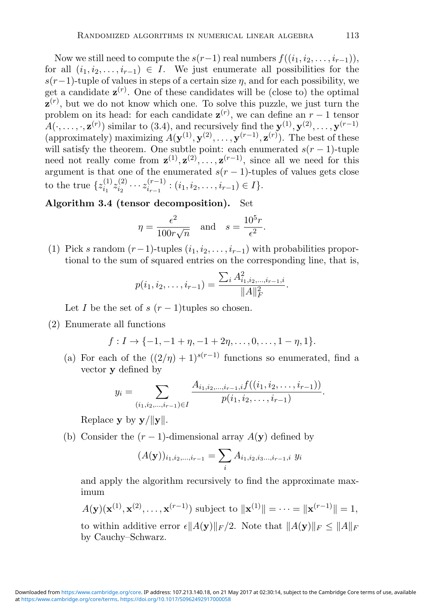Now we still need to compute the  $s(r-1)$  real numbers  $f((i_1, i_2, \ldots, i_{r-1})).$ for all  $(i_1, i_2, \ldots, i_{r-1}) \in I$ . We just enumerate all possibilities for the  $s(r-1)$ -tuple of values in steps of a certain size  $\eta$ , and for each possibility, we get a candidate  $\mathbf{z}^{(r)}$ . One of these candidates will be (close to) the optimal  $\mathbf{z}^{(r)}$ , but we do not know which one. To solve this puzzle, we just turn the problem on its head: for each candidate  $z^{(r)}$ , we can define an  $r-1$  tensor  $A(\cdot,\ldots,\cdot,\mathbf{z}^{(r)})$  similar to (3.4), and recursively find the  $\mathbf{y}^{(1)},\mathbf{y}^{(2)},\ldots,\mathbf{y}^{(r-1)}$ (approximately) maximizing  $A(\mathbf{y}^{(1)}, \mathbf{y}^{(2)}, \dots, \mathbf{y}^{(r-1)}, \mathbf{z}^{(r)})$ . The best of these will satisfy the theorem. One subtle point: each enumerated  $s(r-1)$ -tuple need not really come from  $\mathbf{z}^{(1)}, \mathbf{z}^{(2)}, \ldots, \mathbf{z}^{(r-1)}$ , since all we need for this argument is that one of the enumerated  $s(r-1)$ -tuples of values gets close to the true  $\{z_{i_1}^{(1)}\}$  $\genfrac{(}{)}{0pt}{}{(1)}{i_1}z_{i_2}^{(2)}$  $z_{i_2}^{(2)} \cdots z_{i_{r-1}}^{(r-1)}$  $i_{r-1}^{(r-1)}$  :  $(i_1, i_2, \ldots, i_{r-1}) \in I$ .

### Algorithm 3.4 (tensor decomposition). Set

$$
\eta = \frac{\epsilon^2}{100r\sqrt{n}} \quad \text{and} \quad s = \frac{10^5r}{\epsilon^2}.
$$

(1) Pick s random  $(r-1)$ -tuples  $(i_1, i_2, \ldots, i_{r-1})$  with probabilities proportional to the sum of squared entries on the corresponding line, that is,

$$
p(i_1, i_2, \ldots, i_{r-1}) = \frac{\sum_i A_{i_1, i_2, \ldots, i_{r-1}, i}^2}{\|A\|_F^2}.
$$

Let I be the set of s  $(r-1)$ tuples so chosen.

(2) Enumerate all functions

$$
f: I \to \{-1, -1+\eta, -1+2\eta, \dots, 0, \dots, 1-\eta, 1\}.
$$

(a) For each of the  $((2/\eta) + 1)^{s(r-1)}$  functions so enumerated, find a vector y defined by

$$
y_i = \sum_{(i_1,i_2,\ldots,i_{r-1})\in I} \frac{A_{i_1,i_2,\ldots,i_{r-1},i}f((i_1,i_2,\ldots,i_{r-1}))}{p(i_1,i_2,\ldots,i_{r-1})}.
$$

Replace **v** by  $\mathbf{v}/\|\mathbf{v}\|$ .

(b) Consider the  $(r-1)$ -dimensional array  $A(\mathbf{y})$  defined by

$$
(A(\mathbf{y}))_{i_1,i_2,\dots,i_{r-1}} = \sum_i A_{i_1,i_2,i_3\dots,i_{r-1},i} \ y_i
$$

and apply the algorithm recursively to find the approximate maximum

 $A(\mathbf{y})(\mathbf{x}^{(1)}, \mathbf{x}^{(2)}, \dots, \mathbf{x}^{(r-1)})$  subject to  $\|\mathbf{x}^{(1)}\| = \dots = \|\mathbf{x}^{(r-1)}\| = 1$ ,

to within additive error  $\epsilon ||A(\mathbf{y})||_F/2$ . Note that  $||A(\mathbf{y})||_F \leq ||A||_F$ by Cauchy–Schwarz.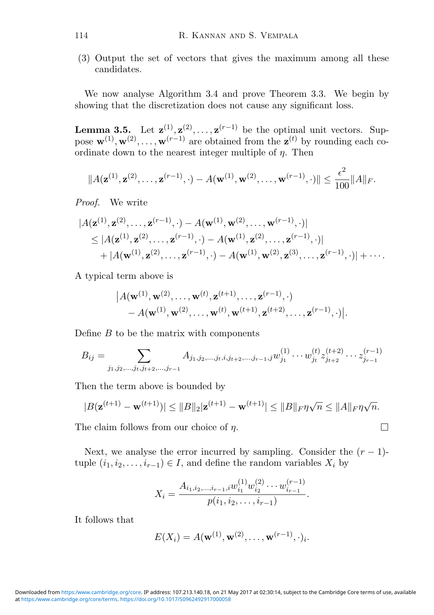(3) Output the set of vectors that gives the maximum among all these candidates.

We now analyse Algorithm 3.4 and prove Theorem 3.3. We begin by showing that the discretization does not cause any significant loss.

**Lemma 3.5.** Let  $\mathbf{z}^{(1)}, \mathbf{z}^{(2)}, \ldots, \mathbf{z}^{(r-1)}$  be the optimal unit vectors. Suppose  $\mathbf{w}^{(1)}, \mathbf{w}^{(2)}, \ldots, \mathbf{w}^{(r-1)}$  are obtained from the  $\mathbf{z}^{(t)}$  by rounding each coordinate down to the nearest integer multiple of  $\eta$ . Then

$$
||A(\mathbf{z}^{(1)}, \mathbf{z}^{(2)}, \dots, \mathbf{z}^{(r-1)}, \cdot) - A(\mathbf{w}^{(1)}, \mathbf{w}^{(2)}, \dots, \mathbf{w}^{(r-1)}, \cdot)|| \leq \frac{\epsilon^2}{100} ||A||_F.
$$

Proof. We write

$$
|A(\mathbf{z}^{(1)}, \mathbf{z}^{(2)}, \dots, \mathbf{z}^{(r-1)}, \cdot) - A(\mathbf{w}^{(1)}, \mathbf{w}^{(2)}, \dots, \mathbf{w}^{(r-1)}, \cdot)|
$$
  
\n
$$
\leq |A(\mathbf{z}^{(1)}, \mathbf{z}^{(2)}, \dots, \mathbf{z}^{(r-1)}, \cdot) - A(\mathbf{w}^{(1)}, \mathbf{z}^{(2)}, \dots, \mathbf{z}^{(r-1)}, \cdot)|
$$
  
\n
$$
+ |A(\mathbf{w}^{(1)}, \mathbf{z}^{(2)}, \dots, \mathbf{z}^{(r-1)}, \cdot) - A(\mathbf{w}^{(1)}, \mathbf{w}^{(2)}, \mathbf{z}^{(3)}, \dots, \mathbf{z}^{(r-1)}, \cdot)| + \cdots
$$

A typical term above is

$$
|A(\mathbf{w}^{(1)}, \mathbf{w}^{(2)}, \dots, \mathbf{w}^{(t)}, \mathbf{z}^{(t+1)}, \dots, \mathbf{z}^{(r-1)}, \cdot) - A(\mathbf{w}^{(1)}, \mathbf{w}^{(2)}, \dots, \mathbf{w}^{(t)}, \mathbf{w}^{(t+1)}, \mathbf{z}^{(t+2)}, \dots, \mathbf{z}^{(r-1)}, \cdot)|.
$$

Define  $B$  to be the matrix with components

$$
B_{ij} = \sum_{j_1, j_2, \dots, j_t, j_{t+2}, \dots, j_{r-1}} A_{j_1, j_2, \dots, j_t, i, j_{t+2}, \dots, j_{r-1}, j} w_{j_1}^{(1)} \cdots w_{j_t}^{(t)} z_{j_{t+2}}^{(t+2)} \cdots z_{j_{r-1}}^{(r-1)}
$$

Then the term above is bounded by

$$
|B(\mathbf{z}^{(t+1)} - \mathbf{w}^{(t+1)})| \leq \|B\|_2 |\mathbf{z}^{(t+1)} - \mathbf{w}^{(t+1)}| \leq \|B\|_F \eta \sqrt{n} \leq \|A\|_F \eta \sqrt{n}.
$$

The claim follows from our choice of  $\eta$ .

Next, we analyse the error incurred by sampling. Consider the  $(r-1)$ tuple  $(i_1, i_2, \ldots, i_{r-1}) \in I$ , and define the random variables  $X_i$  by

$$
X_i = \frac{A_{i_1,i_2,\dots,i_{r-1},i}w_{i_1}^{(1)}w_{i_2}^{(2)}\cdots w_{i_{r-1}}^{(r-1)}}{p(i_1,i_2,\dots,i_{r-1})}.
$$

It follows that

$$
E(X_i) = A(\mathbf{w}^{(1)}, \mathbf{w}^{(2)}, \dots, \mathbf{w}^{(r-1)}, \cdot)_i.
$$

$$
\qquad \qquad \Box
$$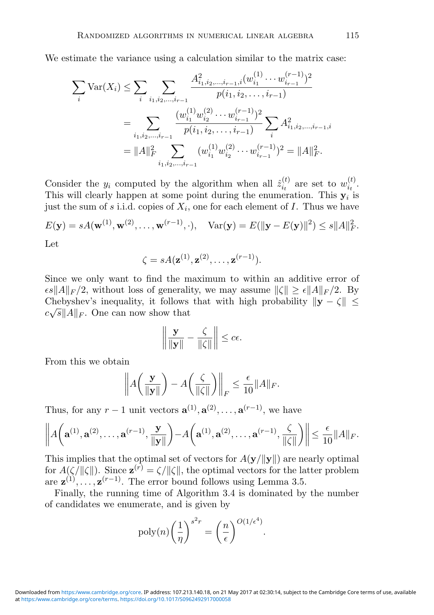We estimate the variance using a calculation similar to the matrix case:

$$
\sum_{i} \text{Var}(X_{i}) \leq \sum_{i} \sum_{i_{1}, i_{2}, \dots, i_{r-1}} \frac{A_{i_{1}, i_{2}, \dots, i_{r-1}, i}^{2}(w_{i_{1}}^{(1)} \cdots w_{i_{r-1}}^{(r-1)})^{2}}{p(i_{1}, i_{2}, \dots, i_{r-1})}
$$
\n
$$
= \sum_{i_{1}, i_{2}, \dots, i_{r-1}} \frac{(w_{i_{1}}^{(1)} w_{i_{2}}^{(2)} \cdots w_{i_{r-1}}^{(r-1)})^{2}}{p(i_{1}, i_{2}, \dots, i_{r-1})} \sum_{i} A_{i_{1}, i_{2}, \dots, i_{r-1}, i}^{2}
$$
\n
$$
= \|A\|_{F}^{2} \sum_{i_{1}, i_{2}, \dots, i_{r-1}} (w_{i_{1}}^{(1)} w_{i_{2}}^{(2)} \cdots w_{i_{r-1}}^{(r-1)})^{2} = \|A\|_{F}^{2}.
$$

Consider the  $y_i$  computed by the algorithm when all  $\hat{z}_{i_t}^{(t)}$  $u_i^{(t)}$  are set to  $w_{i_t}^{(t)}$  $\frac{u}{i}$ . This will clearly happen at some point during the enumeration. This  $y_i$  is just the sum of s i.i.d. copies of  $X_i$ , one for each element of I. Thus we have

$$
E(\mathbf{y}) = sA(\mathbf{w}^{(1)}, \mathbf{w}^{(2)}, \dots, \mathbf{w}^{(r-1)}, \cdot), \quad \text{Var}(\mathbf{y}) = E(||\mathbf{y} - E(\mathbf{y})||^2) \le s ||A||_F^2.
$$

Let

$$
\zeta = sA(\mathbf{z}^{(1)}, \mathbf{z}^{(2)}, \ldots, \mathbf{z}^{(r-1)}).
$$

Since we only want to find the maximum to within an additive error of  $\varepsilon s\|A\|_F/2$ , without loss of generality, we may assume  $\|\zeta\| \geq \varepsilon \|A\|_F/2$ . By Chebyshev's inequality, it follows that with high probability  $||\mathbf{y} - \zeta|| \leq$  $c\sqrt{s}||A||_F$ . One can now show that

$$
\left\|\frac{\mathbf{y}}{\|\mathbf{y}\|} - \frac{\zeta}{\|\zeta\|}\right\| \leq c\epsilon.
$$

From this we obtain

$$
\left\| A\left(\frac{\mathbf{y}}{\|\mathbf{y}\|}\right) - A\left(\frac{\zeta}{\|\zeta\|}\right) \right\|_F \leq \frac{\epsilon}{10} \|A\|_F.
$$

Thus, for any  $r-1$  unit vectors  $\mathbf{a}^{(1)}, \mathbf{a}^{(2)}, \ldots, \mathbf{a}^{(r-1)}$ , we have

$$
\left\|A\bigg(\mathbf{a}^{(1)},\mathbf{a}^{(2)},\ldots,\mathbf{a}^{(r-1)},\frac{\mathbf{y}}{\|\mathbf{y}\|}\bigg)-A\bigg(\mathbf{a}^{(1)},\mathbf{a}^{(2)},\ldots,\mathbf{a}^{(r-1)},\frac{\zeta}{\|\zeta\|}\bigg)\right\| \leq \frac{\epsilon}{10}\|A\|_F.
$$

This implies that the optimal set of vectors for  $A(y/||y||)$  are nearly optimal for  $A(\zeta/\|\zeta\|)$ . Since  $\mathbf{z}^{(r)} = \zeta/\|\zeta\|$ , the optimal vectors for the latter problem are  $\mathbf{z}^{(1)}, \ldots, \mathbf{z}^{(r-1)}$ . The error bound follows using Lemma 3.5.

Finally, the running time of Algorithm 3.4 is dominated by the number of candidates we enumerate, and is given by

$$
poly(n)\left(\frac{1}{\eta}\right)^{s^2r} = \left(\frac{n}{\epsilon}\right)^{O(1/\epsilon^4)}.
$$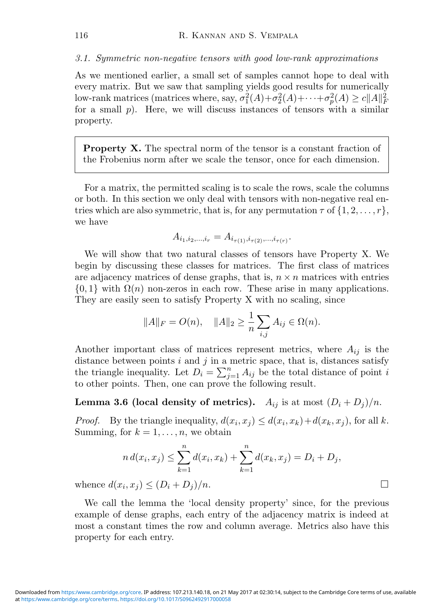#### 3.1. Symmetric non-negative tensors with good low-rank approximations

As we mentioned earlier, a small set of samples cannot hope to deal with every matrix. But we saw that sampling yields good results for numerically low-rank matrices (matrices where, say,  $\sigma_1^2(A) + \sigma_2^2(A) + \cdots + \sigma_p^2(A) \ge c||A||_F^2$ for a small  $p$ ). Here, we will discuss instances of tensors with a similar property.

Property X. The spectral norm of the tensor is a constant fraction of the Frobenius norm after we scale the tensor, once for each dimension.

For a matrix, the permitted scaling is to scale the rows, scale the columns or both. In this section we only deal with tensors with non-negative real entries which are also symmetric, that is, for any permutation  $\tau$  of  $\{1, 2, \ldots, r\}$ , we have

$$
A_{i_1,i_2,...,i_r} = A_{i_{\tau(1)},i_{\tau(2)},...,i_{\tau(r)}}.
$$

We will show that two natural classes of tensors have Property X. We begin by discussing these classes for matrices. The first class of matrices are adjacency matrices of dense graphs, that is,  $n \times n$  matrices with entries  $\{0,1\}$  with  $\Omega(n)$  non-zeros in each row. These arise in many applications. They are easily seen to satisfy Property X with no scaling, since

$$
||A||_F = O(n), \quad ||A||_2 \ge \frac{1}{n} \sum_{i,j} A_{ij} \in \Omega(n).
$$

Another important class of matrices represent metrics, where  $A_{ij}$  is the distance between points i and j in a metric space, that is, distances satisfy the triangle inequality. Let  $D_i = \sum_{j=1}^n A_{ij}$  be the total distance of point i to other points. Then, one can prove the following result.

**Lemma 3.6 (local density of metrics).**  $A_{ij}$  is at most  $(D_i + D_j)/n$ .

*Proof.* By the triangle inequality,  $d(x_i, x_j) \leq d(x_i, x_k) + d(x_k, x_j)$ , for all k. Summing, for  $k = 1, \ldots, n$ , we obtain

$$
n d(x_i, x_j) \le \sum_{k=1}^n d(x_i, x_k) + \sum_{k=1}^n d(x_k, x_j) = D_i + D_j,
$$

 $\Box$ 

whence  $d(x_i, x_j) \leq (D_i + D_j)/n$ .

We call the lemma the 'local density property' since, for the previous example of dense graphs, each entry of the adjacency matrix is indeed at most a constant times the row and column average. Metrics also have this property for each entry.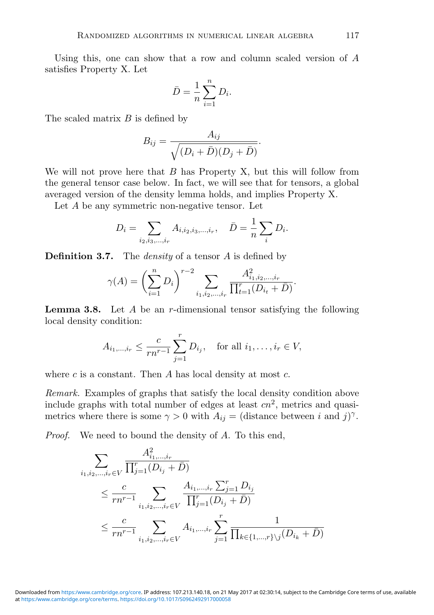Using this, one can show that a row and column scaled version of A satisfies Property X. Let

$$
\bar{D} = \frac{1}{n} \sum_{i=1}^{n} D_i.
$$

The scaled matrix B is defined by

$$
B_{ij} = \frac{A_{ij}}{\sqrt{(D_i + \bar{D})(D_j + \bar{D})}}.
$$

We will not prove here that  $B$  has Property X, but this will follow from the general tensor case below. In fact, we will see that for tensors, a global averaged version of the density lemma holds, and implies Property X.

Let A be any symmetric non-negative tensor. Let

$$
D_i = \sum_{i_2, i_3, \dots, i_r} A_{i, i_2, i_3, \dots, i_r}, \quad \bar{D} = \frac{1}{n} \sum_i D_i.
$$

**Definition 3.7.** The *density* of a tensor  $A$  is defined by

$$
\gamma(A) = \left(\sum_{i=1}^n D_i\right)^{r-2} \sum_{i_1, i_2, \dots, i_r} \frac{A_{i_1, i_2, \dots, i_r}^2}{\prod_{t=1}^r (D_{i_t} + \bar{D})}.
$$

**Lemma 3.8.** Let A be an r-dimensional tensor satisfying the following local density condition:

$$
A_{i_1,...,i_r} \leq \frac{c}{rn^{r-1}} \sum_{j=1}^r D_{i_j}
$$
, for all  $i_1,...,i_r \in V$ ,

where  $c$  is a constant. Then  $A$  has local density at most  $c$ .

Remark. Examples of graphs that satisfy the local density condition above include graphs with total number of edges at least  $cn^2$ , metrics and quasimetrics where there is some  $\gamma > 0$  with  $A_{ij} =$  (distance between i and j)<sup> $\gamma$ </sup>.

Proof. We need to bound the density of A. To this end,

$$
\sum_{i_1, i_2, \dots, i_r \in V} \frac{A_{i_1, \dots, i_r}^2}{\prod_{j=1}^r (D_{i_j} + \bar{D})}
$$
\n
$$
\leq \frac{c}{rn^{r-1}} \sum_{i_1, i_2, \dots, i_r \in V} \frac{A_{i_1, \dots, i_r} \sum_{j=1}^r D_{i_j}}{\prod_{j=1}^r (D_{i_j} + \bar{D})}
$$
\n
$$
\leq \frac{c}{rn^{r-1}} \sum_{i_1, i_2, \dots, i_r \in V} A_{i_1, \dots, i_r} \sum_{j=1}^r \frac{1}{\prod_{k \in \{1, \dots, r\} \setminus j} (D_{i_k} + \bar{D})}
$$

at [https:/www.cambridge.org/core/terms.](https:/www.cambridge.org/core/terms) <https://doi.org/10.1017/S0962492917000058> Downloaded from <https:/www.cambridge.org/core>. IP address: 107.213.140.18, on 21 May 2017 at 02:30:14, subject to the Cambridge Core terms of use, available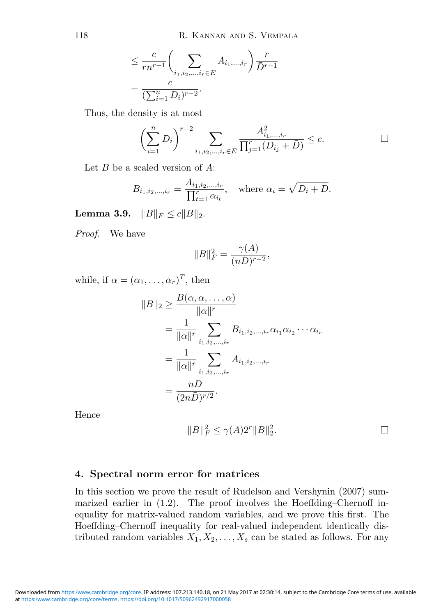$$
\leq \frac{c}{rn^{r-1}} \left( \sum_{i_1, i_2, \dots, i_r \in E} A_{i_1, \dots, i_r} \right) \frac{r}{\overline{D}^{r-1}}
$$

$$
= \frac{c}{(\sum_{i=1}^n D_i)^{r-2}}.
$$

Thus, the density is at most

$$
\left(\sum_{i=1}^{n} D_{i}\right)^{r-2} \sum_{i_{1}, i_{2}, \dots, i_{r} \in E} \frac{A_{i_{1}, \dots, i_{r}}^{2}}{\prod_{j=1}^{r} (D_{i_{j}} + \bar{D})} \leq c.
$$

Let  $B$  be a scaled version of  $A$ :

$$
B_{i_1, i_2, ..., i_r} = \frac{A_{i_1, i_2, ..., i_r}}{\prod_{t=1}^r \alpha_{i_t}}, \text{ where } \alpha_i = \sqrt{D_i + \bar{D}}.
$$

Lemma 3.9.  $||B||_F \le c||B||_2$ .

Proof. We have

$$
||B||_F^2 = \frac{\gamma(A)}{(n\bar{D})^{r-2}},
$$

while, if  $\alpha = (\alpha_1, \ldots, \alpha_r)^T$ , then

$$
||B||_2 \ge \frac{B(\alpha, \alpha, \dots, \alpha)}{||\alpha||^r}
$$
  
= 
$$
\frac{1}{||\alpha||^r} \sum_{i_1, i_2, \dots, i_r} B_{i_1, i_2, \dots, i_r} \alpha_{i_1} \alpha_{i_2} \cdots \alpha_{i_r}
$$
  
= 
$$
\frac{1}{||\alpha||^r} \sum_{i_1, i_2, \dots, i_r} A_{i_1, i_2, \dots, i_r}
$$
  
= 
$$
\frac{n\bar{D}}{(2n\bar{D})^{r/2}}.
$$

Hence

$$
||B||_F^2 \le \gamma(A)2^r ||B||_2^2.
$$

#### 4. Spectral norm error for matrices

In this section we prove the result of Rudelson and Vershynin (2007) summarized earlier in  $(1.2)$ . The proof involves the Hoeffding–Chernoff inequality for matrix-valued random variables, and we prove this first. The Hoeffding–Chernoff inequality for real-valued independent identically distributed random variables  $X_1, X_2, \ldots, X_s$  can be stated as follows. For any

at [https:/www.cambridge.org/core/terms.](https:/www.cambridge.org/core/terms) <https://doi.org/10.1017/S0962492917000058> Downloaded from <https:/www.cambridge.org/core>. IP address: 107.213.140.18, on 21 May 2017 at 02:30:14, subject to the Cambridge Core terms of use, available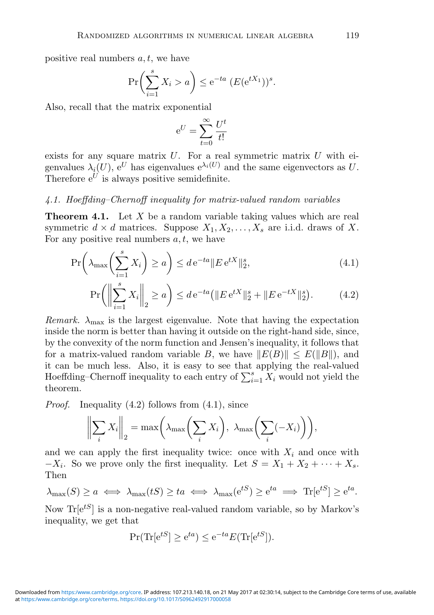positive real numbers  $a, t$ , we have

$$
\Pr\left(\sum_{i=1}^{s} X_i > a\right) \le e^{-ta} \ (E(e^{tX_1}))^s.
$$

Also, recall that the matrix exponential

$$
e^U = \sum_{t=0}^{\infty} \frac{U^t}{t!}
$$

exists for any square matrix  $U$ . For a real symmetric matrix  $U$  with eigenvalues  $\lambda_i(U)$ ,  $e^U$  has eigenvalues  $e^{\lambda_i(U)}$  and the same eigenvectors as U. Therefore  $e^{\overrightarrow{U}}$  is always positive semidefinite.

## 4.1. Hoeffding–Chernoff inequality for matrix-valued random variables

**Theorem 4.1.** Let X be a random variable taking values which are real symmetric  $d \times d$  matrices. Suppose  $X_1, X_2, \ldots, X_s$  are i.i.d. draws of X. For any positive real numbers  $a, t$ , we have

$$
\Pr\left(\lambda_{\max}\left(\sum_{i=1}^{s} X_i\right) \ge a\right) \le d e^{-ta} \|E e^{tX}\|_2^s,\tag{4.1}
$$

$$
\Pr\left(\left\|\sum_{i=1}^{s} X_i\right\|_2 \ge a\right) \le d e^{-ta} \left(\|E e^{tX}\|_2^s + \|E e^{-tX}\|_2^s\right). \tag{4.2}
$$

Remark.  $\lambda_{\text{max}}$  is the largest eigenvalue. Note that having the expectation inside the norm is better than having it outside on the right-hand side, since, by the convexity of the norm function and Jensen's inequality, it follows that for a matrix-valued random variable B, we have  $||E(B)|| \le E(||B||)$ , and it can be much less. Also, it is easy to see that applying the real-valued Hoeffding–Chernoff inequality to each entry of  $\sum_{i=1}^{s} X_i$  would not yield the theorem.

*Proof.* Inequality  $(4.2)$  follows from  $(4.1)$ , since

$$
\left\| \sum_{i} X_{i} \right\|_{2} = \max \left( \lambda_{\max} \left( \sum_{i} X_{i} \right), \ \lambda_{\max} \left( \sum_{i} (-X_{i}) \right) \right),
$$

and we can apply the first inequality twice: once with  $X_i$  and once with  $-X_i$ . So we prove only the first inequality. Let  $S = X_1 + X_2 + \cdots + X_s$ . Then

$$
\lambda_{\max}(S) \ge a \iff \lambda_{\max}(tS) \ge ta \iff \lambda_{\max}(e^{tS}) \ge e^{ta} \implies \text{Tr}[e^{tS}] \ge e^{ta}.
$$

Now  $\text{Tr}[e^{tS}]$  is a non-negative real-valued random variable, so by Markov's inequality, we get that

$$
\Pr(\text{Tr}[e^{tS}] \ge e^{ta}) \le e^{-ta} E(\text{Tr}[e^{tS}]).
$$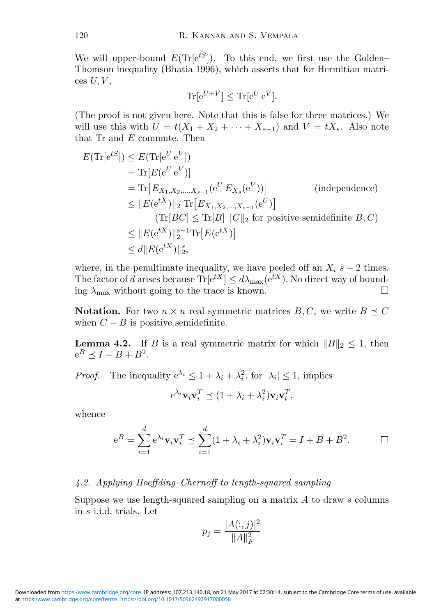We will upper-bound  $E(\text{Tr}[e^{tS}])$ . To this end, we first use the Golden– Thomson inequality (Bhatia 1996), which asserts that for Hermitian matrices  $U, V,$ 

$$
\text{Tr}[\mathbf{e}^{U+V}] \le \text{Tr}[\mathbf{e}^U \mathbf{e}^V].
$$

(The proof is not given here. Note that this is false for three matrices.) We will use this with  $U = t(X_1 + X_2 + \cdots + X_{s-1})$  and  $V = tX_s$ . Also note that  $Tr$  and  $E$  commute. Then

$$
E(\text{Tr}[e^{tS}]) \leq E(\text{Tr}[e^U e^V])
$$
  
\n
$$
= \text{Tr}[E(e^U e^V)]
$$
  
\n
$$
= \text{Tr}[E_{X_1, X_2, \dots, X_{s-1}}(e^U E_{X_s}(e^V))]
$$
 (independence)  
\n
$$
\leq ||E(e^{tX})||_2 \text{ Tr}[E_{X_1, X_2, \dots, X_{s-1}}(e^U)]
$$
  
\n
$$
(\text{Tr}[BC] \leq \text{Tr}[B] ||C||_2 \text{ for positive semidefinite } B, C)
$$
  
\n
$$
\leq ||E(e^{tX})||_2^{s-1} \text{Tr}[E(e^{tX})]
$$
  
\n
$$
\leq d||E(e^{tX})||_2^s,
$$

where, in the penultimate inequality, we have peeled off an  $X_i$  s – 2 times. The factor of d arises because  $Tr[e^{tX}] \leq d\lambda_{\max}(e^{tX})$ . No direct way of bounding  $\lambda_{\text{max}}$  without going to the trace is known.  $\Box$ 

**Notation.** For two  $n \times n$  real symmetric matrices  $B, C$ , we write  $B \prec C$ when  $C - B$  is positive semidefinite.

**Lemma 4.2.** If B is a real symmetric matrix for which  $||B||_2 < 1$ , then  $e^B \preceq I + B + B^2$ .

*Proof.* The inequality  $e^{\lambda_i} \leq 1 + \lambda_i + \lambda_i^2$ , for  $|\lambda_i| \leq 1$ , implies

$$
e^{\lambda_i} \mathbf{v}_i \mathbf{v}_i^T \preceq (1 + \lambda_i + \lambda_i^2) \mathbf{v}_i \mathbf{v}_i^T,
$$

whence

$$
e^{B} = \sum_{i=1}^{d} e^{\lambda_i} \mathbf{v}_i \mathbf{v}_i^T \preceq \sum_{i=1}^{d} (1 + \lambda_i + \lambda_i^2) \mathbf{v}_i \mathbf{v}_i^T = I + B + B^2.
$$

## 4.2. Applying Hoeffding–Chernoff to length-squared sampling

Suppose we use length-squared sampling on a matrix  $\tilde{A}$  to draw s columns in s i.i.d. trials. Let

$$
p_j = \frac{|A(:,j)|^2}{\|A\|_F^2}
$$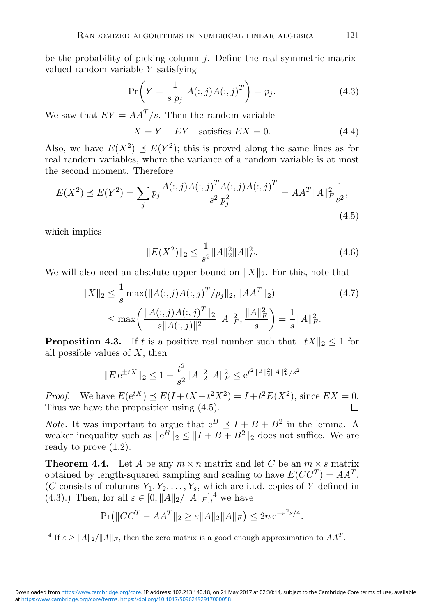be the probability of picking column  $i$ . Define the real symmetric matrixvalued random variable Y satisfying

$$
\Pr\left(Y = \frac{1}{s \ p_j} \ A(:,j)A(:,j)^T\right) = p_j. \tag{4.3}
$$

We saw that  $EY = AA^T/s$ . Then the random variable

$$
X = Y - EY \quad \text{satisfies } EX = 0. \tag{4.4}
$$

Also, we have  $E(X^2) \preceq E(Y^2)$ ; this is proved along the same lines as for real random variables, where the variance of a random variable is at most the second moment. Therefore

$$
E(X^{2}) \leq E(Y^{2}) = \sum_{j} p_{j} \frac{A(:,j)A(:,j)^{T}A(:,j)A(:,j)^{T}}{s^{2} p_{j}^{2}} = AA^{T}||A||_{F}^{2} \frac{1}{s^{2}},
$$
\n(4.5)

which implies

$$
||E(X2)||_2 \le \frac{1}{s^2} ||A||_2^2 ||A||_F^2.
$$
\n(4.6)

We will also need an absolute upper bound on  $||X||_2$ . For this, note that

$$
||X||_2 \le \frac{1}{s} \max(||A(:,j)A(:,j)^T/p_j||_2, ||AA^T||_2)
$$
  
\n
$$
\le \max\left(\frac{||A(:,j)A(:,j)^T||_2}{s||A(:,j)||^2} ||A||_F^2, \frac{||A||_F^2}{s}\right) = \frac{1}{s} ||A||_F^2.
$$
\n(4.7)

**Proposition 4.3.** If t is a positive real number such that  $||tX||_2 \leq 1$  for all possible values of  $X$ , then

$$
||E e^{\pm tX}||_2 \le 1 + \frac{t^2}{s^2} ||A||_2^2 ||A||_F^2 \le e^{t^2 ||A||_2^2 ||A||_F^2/s^2}
$$

*Proof.* We have  $E(e^{tX}) \preceq E(I + tX + t^2X^2) = I + t^2E(X^2)$ , since  $EX = 0$ . Thus we have the proposition using (4.5).  $\Box$ 

*Note.* It was important to argue that  $e^B \preceq I + B + B^2$  in the lemma. A weaker inequality such as  $||e^B||_2 \le ||I + B + B^2||_2$  does not suffice. We are ready to prove (1.2).

**Theorem 4.4.** Let A be any  $m \times n$  matrix and let C be an  $m \times s$  matrix obtained by length-squared sampling and scaling to have  $E(CC^T) = AA^T$ . (C consists of columns  $Y_1, Y_2, \ldots, Y_s$ , which are i.i.d. copies of Y defined in (4.3).) Then, for all  $\varepsilon \in [0, ||A||_2/||A||_F]$ ,<sup>4</sup> we have

$$
\Pr\left(\|CC^T - AA^T\|_2 \ge \varepsilon \|A\|_2 \|A\|_F\right) \le 2n e^{-\varepsilon^2 s/4}.
$$

<sup>4</sup> If  $\varepsilon \ge ||A||_2/||A||_F$ , then the zero matrix is a good enough approximation to  $AA^T$ .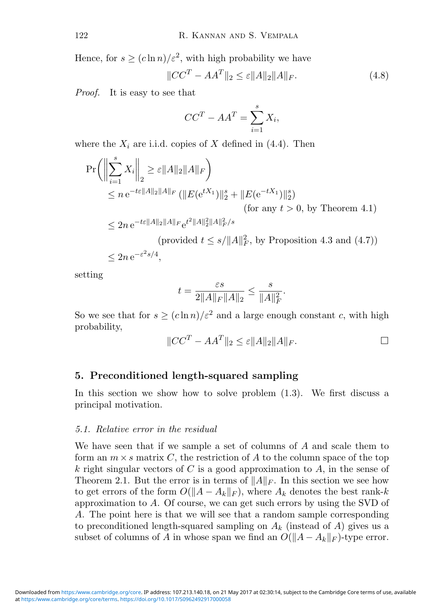Hence, for  $s \geq (c \ln n)/\varepsilon^2$ , with high probability we have

$$
||CC^{T} - AA^{T}||_2 \le \varepsilon ||A||_2 ||A||_F.
$$
 (4.8)

Proof. It is easy to see that

$$
CC^T - AA^T = \sum_{i=1}^{s} X_i,
$$

where the  $X_i$  are i.i.d. copies of X defined in (4.4). Then

$$
\Pr\left(\left\|\sum_{i=1}^{s} X_{i}\right\|_{2} \geq \varepsilon \|A\|_{2} \|A\|_{F}\right)
$$
\n
$$
\leq n e^{-t\varepsilon \|A\|_{2} \|A\|_{F}} \left(\|E(e^{tX_{1}})\|_{2}^{s} + \|E(e^{-tX_{1}})\|_{2}^{s}\right)
$$
\n(for any  $t > 0$ , by Theorem 4.1)

\n
$$
\leq 2n e^{-t\varepsilon \|A\|_{2} \|A\|_{F}} e^{t^{2} \|A\|_{2}^{2} \|A\|_{F}^{2}/s}
$$
\n(provided  $t \leq s / \|A\|_{F}^{2}$ , by Proposition 4.3 and (4.7))

\n
$$
\leq 2n e^{-\varepsilon^{2}s/4},
$$

setting

$$
t = \frac{\varepsilon s}{2||A||_F ||A||_2} \le \frac{s}{||A||_F^2}.
$$

So we see that for  $s \geq (c \ln n)/\varepsilon^2$  and a large enough constant c, with high probability,

$$
||CC^T - AA^T||_2 \le \varepsilon ||A||_2 ||A||_F.
$$

## 5. Preconditioned length-squared sampling

In this section we show how to solve problem (1.3). We first discuss a principal motivation.

#### 5.1. Relative error in the residual

We have seen that if we sample a set of columns of A and scale them to form an  $m \times s$  matrix C, the restriction of A to the column space of the top k right singular vectors of  $C$  is a good approximation to  $A$ , in the sense of Theorem 2.1. But the error is in terms of  $||A||_F$ . In this section we see how to get errors of the form  $O(||A - A_k||_F)$ , where  $A_k$  denotes the best rank-k approximation to A. Of course, we can get such errors by using the SVD of A. The point here is that we will see that a random sample corresponding to preconditioned length-squared sampling on  $A_k$  (instead of A) gives us a subset of columns of A in whose span we find an  $O(||A - A_k||_F)$ -type error.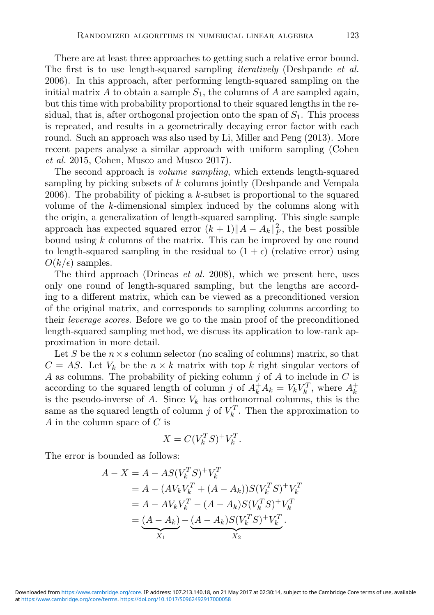There are at least three approaches to getting such a relative error bound. The first is to use length-squared sampling *iteratively* (Deshpande *et al.*) 2006). In this approach, after performing length-squared sampling on the initial matrix A to obtain a sample  $S_1$ , the columns of A are sampled again, but this time with probability proportional to their squared lengths in the residual, that is, after orthogonal projection onto the span of  $S_1$ . This process is repeated, and results in a geometrically decaying error factor with each round. Such an approach was also used by Li, Miller and Peng (2013). More recent papers analyse a similar approach with uniform sampling (Cohen et al. 2015, Cohen, Musco and Musco 2017).

The second approach is volume sampling, which extends length-squared sampling by picking subsets of k columns jointly (Deshpande and Vempala 2006). The probability of picking a  $k$ -subset is proportional to the squared volume of the k-dimensional simplex induced by the columns along with the origin, a generalization of length-squared sampling. This single sample approach has expected squared error  $(k+1) \|A - A_k\|_F^2$ , the best possible bound using  $k$  columns of the matrix. This can be improved by one round to length-squared sampling in the residual to  $(1 + \epsilon)$  (relative error) using  $O(k/\epsilon)$  samples.

The third approach (Drineas et al. 2008), which we present here, uses only one round of length-squared sampling, but the lengths are according to a different matrix, which can be viewed as a preconditioned version of the original matrix, and corresponds to sampling columns according to their leverage scores. Before we go to the main proof of the preconditioned length-squared sampling method, we discuss its application to low-rank approximation in more detail.

Let S be the  $n \times s$  column selector (no scaling of columns) matrix, so that  $C = AS$ . Let  $V_k$  be the  $n \times k$  matrix with top k right singular vectors of A as columns. The probability of picking column  $j$  of A to include in C is according to the squared length of column j of  $A_k^+ A_k = V_k V_k^T$ , where  $A_k^+$ k is the pseudo-inverse of A. Since  $V_k$  has orthonormal columns, this is the same as the squared length of column j of  $V_k^T$ . Then the approximation to A in the column space of C is

$$
X = C(V_k^T S)^+ V_k^T.
$$

The error is bounded as follows:

$$
A - X = A - AS(V_k^T S)^+ V_k^T
$$
  
=  $A - (AV_k V_k^T + (A - A_k))S(V_k^T S)^+ V_k^T$   
=  $A - AV_k V_k^T - (A - A_k)S(V_k^T S)^+ V_k^T$   
=  $(A - A_k) - (A - A_k)S(V_k^T S)^+ V_k^T$ .  
 $X_1$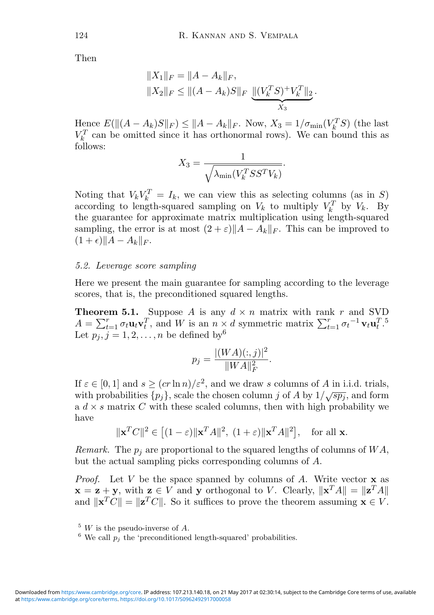Then

$$
||X_1||_F = ||A - A_k||_F,
$$
  
\n
$$
||X_2||_F \le ||(A - A_k)S||_F \underbrace{||(V_k^T S)^+ V_k^T||_2}_{X_3}.
$$

Hence  $E(\|(A - A_k)S\|_F) \leq \|A - A_k\|_F$ . Now,  $X_3 = 1/\sigma_{\min}(V_k^T S)$  (the last  $V_k^T$  can be omitted since it has orthonormal rows). We can bound this as follows:

$$
X_3 = \frac{1}{\sqrt{\lambda_{\min}(V_k^T S S^T V_k)}}.
$$

Noting that  $V_k V_k^T = I_k$ , we can view this as selecting columns (as in S) according to length-squared sampling on  $V_k$  to multiply  $V_k^T$  by  $V_k$ . By the guarantee for approximate matrix multiplication using length-squared sampling, the error is at most  $(2 + \varepsilon) \|A - A_k\|_F$ . This can be improved to  $(1 + \epsilon) \|A - A_k\|_F$ .

#### 5.2. Leverage score sampling

Here we present the main guarantee for sampling according to the leverage scores, that is, the preconditioned squared lengths.

**Theorem 5.1.** Suppose A is any  $d \times n$  matrix with rank r and SVD  $A = \sum_{t=1}^r \sigma_t \mathbf{u}_t \mathbf{v}_t^T$ , and W is an  $n \times d$  symmetric matrix  $\sum_{t=1}^r \sigma_t^{-1} \mathbf{v}_t \mathbf{u}_t^T$ .<sup>5</sup> Let  $p_j$ ,  $j = 1, 2, \ldots, n$  be defined by <sup>6</sup>

$$
p_j = \frac{|(WA)(:,j)|^2}{\|WA\|_F^2}.
$$

If  $\varepsilon \in [0,1]$  and  $s \ge (c r \ln n)/\varepsilon^2$ , and we draw s columns of A in i.i.d. trials, with probabilities  $\{p_j\}$ , scale the chosen column j of A by  $1/\sqrt{sp_j}$ , and form a  $d \times s$  matrix C with these scaled columns, then with high probability we have

$$
\|\mathbf{x}^T C\|^2 \in [(1-\varepsilon)\|\mathbf{x}^T A\|^2, (1+\varepsilon)\|\mathbf{x}^T A\|^2], \text{ for all } \mathbf{x}.
$$

Remark. The  $p_i$  are proportional to the squared lengths of columns of  $WA$ , but the actual sampling picks corresponding columns of A.

*Proof.* Let V be the space spanned by columns of A. Write vector  $x$  as  $\mathbf{x} = \mathbf{z} + \mathbf{y}$ , with  $\mathbf{z} \in V$  and y orthogonal to V. Clearly,  $\|\mathbf{x}^T A\| = \|\mathbf{z}^T A\|$ and  $\|\mathbf{x}^T C\| = \|\mathbf{z}^T C\|$ . So it suffices to prove the theorem assuming  $\mathbf{x} \in V$ .

 $5 W$  is the pseudo-inverse of A.

 $6$  We call  $p_j$  the 'preconditioned length-squared' probabilities.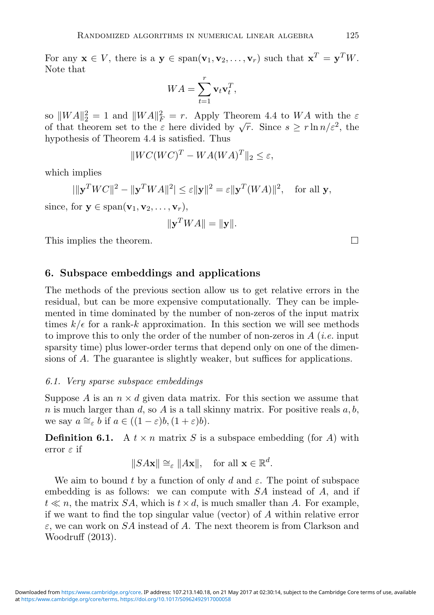For any  $\mathbf{x} \in V$ , there is a  $\mathbf{y} \in \text{span}(\mathbf{v}_1, \mathbf{v}_2, \dots, \mathbf{v}_r)$  such that  $\mathbf{x}^T = \mathbf{y}^T W$ . Note that

$$
WA = \sum_{t=1}^{r} \mathbf{v}_t \mathbf{v}_t^T,
$$

so  $\|WA\|_2^2 = 1$  and  $\|WA\|_F^2 = r$ . Apply Theorem 4.4 to WA with the  $\varepsilon$ so  $||W A||_2 = 1$  and  $||W A||_F = V$ . Apply Theorem 4.4 to  $WA$  with the  $\varepsilon$ <br>of that theorem set to the  $\varepsilon$  here divided by  $\sqrt{r}$ . Since  $s \ge r \ln n/\varepsilon^2$ , the hypothesis of Theorem 4.4 is satisfied. Thus

$$
||WC(WC)^{T} - WA(WA)^{T}||_{2} \le \varepsilon,
$$

which implies

 $\|\mathbf{y}^T W C\|^2 - \|\mathbf{y}^T W A\|^2 \leq \varepsilon \|\mathbf{y}\|^2 = \varepsilon \|\mathbf{y}^T (W A)\|^2$ , for all y,

since, for  $\mathbf{v} \in \text{span}(\mathbf{v}_1, \mathbf{v}_2, \dots, \mathbf{v}_r),$ 

$$
\|\mathbf{y}^TWA\| = \|\mathbf{y}\|.
$$

This implies the theorem.

## 6. Subspace embeddings and applications

The methods of the previous section allow us to get relative errors in the residual, but can be more expensive computationally. They can be implemented in time dominated by the number of non-zeros of the input matrix times  $k/\epsilon$  for a rank-k approximation. In this section we will see methods to improve this to only the order of the number of non-zeros in  $A$  (*i.e.* input sparsity time) plus lower-order terms that depend only on one of the dimensions of A. The guarantee is slightly weaker, but suffices for applications.

#### 6.1. Very sparse subspace embeddings

Suppose A is an  $n \times d$  given data matrix. For this section we assume that n is much larger than d, so A is a tall skinny matrix. For positive reals  $a, b$ , we say  $a \cong_{\varepsilon} b$  if  $a \in ((1-\varepsilon)b, (1+\varepsilon)b)$ .

**Definition 6.1.** A  $t \times n$  matrix S is a subspace embedding (for A) with error  $\varepsilon$  if

$$
||SA\mathbf{x}|| \cong_{\varepsilon} ||A\mathbf{x}||, \text{ for all } \mathbf{x} \in \mathbb{R}^d.
$$

We aim to bound t by a function of only d and  $\varepsilon$ . The point of subspace embedding is as follows: we can compute with  $SA$  instead of A, and if  $t \ll n$ , the matrix SA, which is  $t \times d$ , is much smaller than A. For example, if we want to find the top singular value (vector) of A within relative error  $\varepsilon$ , we can work on SA instead of A. The next theorem is from Clarkson and Woodruff (2013).

 $\Box$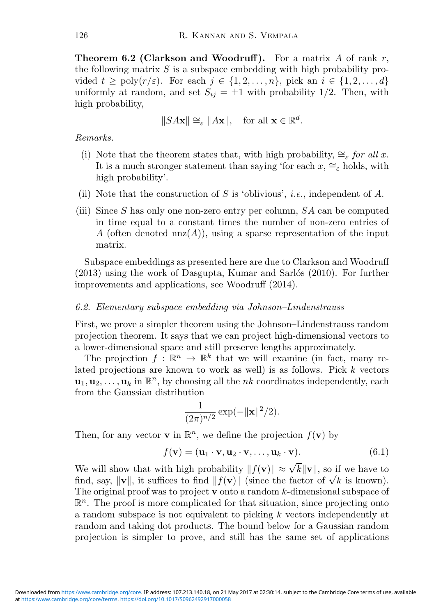**Theorem 6.2 (Clarkson and Woodruff).** For a matrix A of rank r, the following matrix  $S$  is a subspace embedding with high probability provided  $t \geq \text{poly}(r/\varepsilon)$ . For each  $j \in \{1, 2, \ldots, n\}$ , pick an  $i \in \{1, 2, \ldots, d\}$ uniformly at random, and set  $S_{ij} = \pm 1$  with probability 1/2. Then, with high probability,

 $||SA\mathbf{x}|| \cong_{\varepsilon} ||A\mathbf{x}||$ , for all  $\mathbf{x} \in \mathbb{R}^d$ .

Remarks.

- (i) Note that the theorem states that, with high probability,  $\cong_{\varepsilon}$  for all x. It is a much stronger statement than saying 'for each  $x, \cong_{\varepsilon}$  holds, with high probability'.
- (ii) Note that the construction of S is 'oblivious', *i.e.*, independent of  $A$ .
- (iii) Since S has only one non-zero entry per column,  $SA$  can be computed in time equal to a constant times the number of non-zero entries of A (often denoted  $nnz(A)$ ), using a sparse representation of the input matrix.

Subspace embeddings as presented here are due to Clarkson and Woodruff  $(2013)$  using the work of Dasgupta, Kumar and Sarlós  $(2010)$ . For further improvements and applications, see Woodruff (2014).

#### 6.2. Elementary subspace embedding via Johnson–Lindenstrauss

First, we prove a simpler theorem using the Johnson–Lindenstrauss random projection theorem. It says that we can project high-dimensional vectors to a lower-dimensional space and still preserve lengths approximately.

The projection  $f : \mathbb{R}^n \to \mathbb{R}^k$  that we will examine (in fact, many related projections are known to work as well) is as follows. Pick k vectors  $\mathbf{u}_1, \mathbf{u}_2, \ldots, \mathbf{u}_k$  in  $\mathbb{R}^n$ , by choosing all the nk coordinates independently, each from the Gaussian distribution

$$
\frac{1}{(2\pi)^{n/2}}\exp(-\|\mathbf{x}\|^2/2).
$$

Then, for any vector **v** in  $\mathbb{R}^n$ , we define the projection  $f(\mathbf{v})$  by

$$
f(\mathbf{v}) = (\mathbf{u}_1 \cdot \mathbf{v}, \mathbf{u}_2 \cdot \mathbf{v}, \dots, \mathbf{u}_k \cdot \mathbf{v}).
$$
 (6.1)

We will show that with high probability  $|| f(\mathbf{v}) || \approx \sqrt{k} ||\mathbf{v}||$ , so if we have to We will show that with high probability  $||f(\mathbf{v})|| \approx \sqrt{k} ||\mathbf{v}||$ , so if we have to find, say,  $||\mathbf{v}||$ , it suffices to find  $||f(\mathbf{v})||$  (since the factor of  $\sqrt{k}$  is known). The original proof was to project  $\bf{v}$  onto a random k-dimensional subspace of  $\mathbb{R}^n$ . The proof is more complicated for that situation, since projecting onto a random subspace is not equivalent to picking k vectors independently at random and taking dot products. The bound below for a Gaussian random projection is simpler to prove, and still has the same set of applications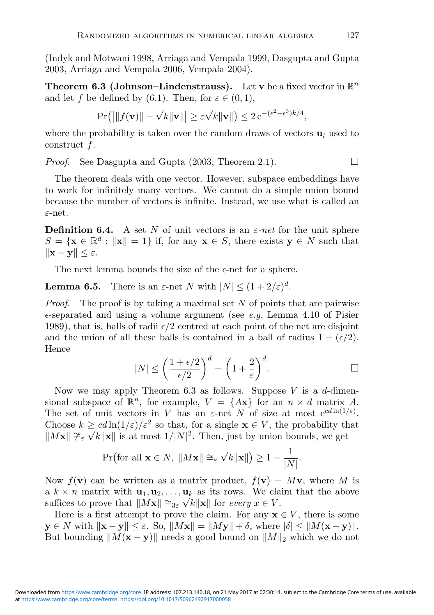(Indyk and Motwani 1998, Arriaga and Vempala 1999, Dasgupta and Gupta 2003, Arriaga and Vempala 2006, Vempala 2004).

**Theorem 6.3 (Johnson–Lindenstrauss).** Let **v** be a fixed vector in  $\mathbb{R}^n$ and let f be defined by (6.1). Then, for  $\varepsilon \in (0,1)$ ,

$$
\Pr\left(\left|\|f(\mathbf{v})\| - \sqrt{k} \|\mathbf{v}\|\right| \geq \varepsilon \sqrt{k} \|\mathbf{v}\|\right) \leq 2 e^{-(\epsilon^2 - \epsilon^3)k/4},
$$

where the probability is taken over the random draws of vectors  $\mathbf{u}_i$  used to construct f.

Proof. See Dasgupta and Gupta (2003, Theorem 2.1).  $\Box$ 

The theorem deals with one vector. However, subspace embeddings have to work for infinitely many vectors. We cannot do a simple union bound because the number of vectors is infinite. Instead, we use what is called an  $\varepsilon$ -net.

**Definition 6.4.** A set N of unit vectors is an  $\varepsilon$ -net for the unit sphere  $S = \{ \mathbf{x} \in \mathbb{R}^d : ||\mathbf{x}|| = 1 \}$  if, for any  $\mathbf{x} \in S$ , there exists  $\mathbf{y} \in N$  such that  $\|\mathbf{x} - \mathbf{y}\| \leq \varepsilon.$ 

The next lemma bounds the size of the  $\epsilon$ -net for a sphere.

**Lemma 6.5.** There is an  $\varepsilon$ -net N with  $|N| \leq (1 + 2/\varepsilon)^d$ .

Proof. The proof is by taking a maximal set N of points that are pairwise  $\epsilon$ -separated and using a volume argument (see e.g. Lemma 4.10 of Pisier 1989), that is, balls of radii  $\epsilon/2$  centred at each point of the net are disjoint and the union of all these balls is contained in a ball of radius  $1 + (\epsilon/2)$ . Hence

$$
|N| \le \left(\frac{1+\epsilon/2}{\epsilon/2}\right)^d = \left(1+\frac{2}{\epsilon}\right)^d.
$$

Now we may apply Theorem 6.3 as follows. Suppose  $V$  is a d-dimensional subspace of  $\mathbb{R}^n$ , for example,  $V = \{A\mathbf{x}\}\$ for an  $n \times d$  matrix A. The set of unit vectors in V has an  $\varepsilon$ -net N of size at most  $e^{cd\ln(1/\varepsilon)}$ . Choose  $k \geq cd \ln(1/\varepsilon)/\varepsilon^2$  so that, for a single  $\mathbf{x} \in V$ , the probability that  $||Mx|| \ncong_{\varepsilon} \sqrt{k} ||x||$  is at most  $1/|N|^2$ . Then, just by union bounds, we get

$$
\Pr(\text{for all } \mathbf{x} \in N, \|M\mathbf{x}\| \cong_{\varepsilon} \sqrt{k} \|\mathbf{x}\|) \ge 1 - \frac{1}{|N|}.
$$

Now  $f(\mathbf{v})$  can be written as a matrix product,  $f(\mathbf{v}) = M\mathbf{v}$ , where M is a  $k \times n$  matrix with  $\mathbf{u}_1, \mathbf{u}_2, \ldots, \mathbf{u}_k$  as its rows. We claim that the above suffices to prove that  $||\overline{M}\mathbf{x}|| \cong_{3\varepsilon} \sqrt{k} ||\mathbf{x}||$  for every  $x \in V$ .

Here is a first attempt to prove the claim. For any  $x \in V$ , there is some  $y \in N$  with  $\|\mathbf{x} - \mathbf{y}\| \leq \varepsilon$ . So,  $\|M\mathbf{x}\| = \|My\| + \delta$ , where  $|\delta| \leq \|M(\mathbf{x} - \mathbf{y})\|$ . But bounding  $||M(\mathbf{x} - \mathbf{y})||$  needs a good bound on  $||M||_2$  which we do not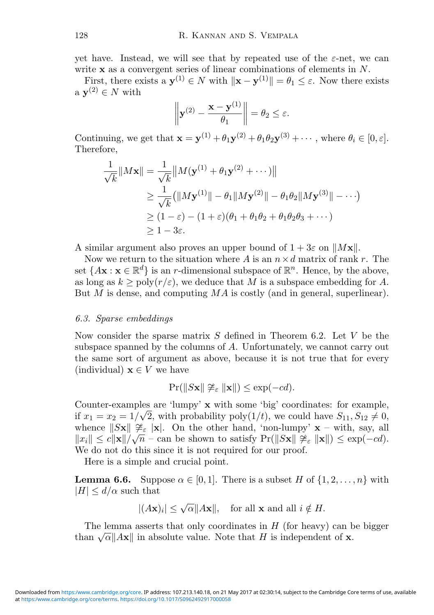yet have. Instead, we will see that by repeated use of the  $\varepsilon$ -net, we can write **x** as a convergent series of linear combinations of elements in N.

First, there exists a  $y^{(1)} \in N$  with  $\|\mathbf{x} - \mathbf{y}^{(1)}\| = \theta_1 \leq \varepsilon$ . Now there exists a  $\mathbf{y}^{(2)} \in N$  with

$$
\left\|\mathbf{y}^{(2)} - \frac{\mathbf{x} - \mathbf{y}^{(1)}}{\theta_1}\right\| = \theta_2 \le \varepsilon.
$$

Continuing, we get that  $\mathbf{x} = \mathbf{y}^{(1)} + \theta_1 \mathbf{y}^{(2)} + \theta_1 \theta_2 \mathbf{y}^{(3)} + \cdots$ , where  $\theta_i \in [0, \varepsilon]$ . Therefore,

$$
\frac{1}{\sqrt{k}}||M\mathbf{x}|| = \frac{1}{\sqrt{k}}||M(\mathbf{y}^{(1)} + \theta_1\mathbf{y}^{(2)} + \cdots)||
$$
\n
$$
\geq \frac{1}{\sqrt{k}}(||M\mathbf{y}^{(1)}|| - \theta_1||M\mathbf{y}^{(2)}|| - \theta_1\theta_2||M\mathbf{y}^{(3)}|| - \cdots)
$$
\n
$$
\geq (1 - \varepsilon) - (1 + \varepsilon)(\theta_1 + \theta_1\theta_2 + \theta_1\theta_2\theta_3 + \cdots)
$$
\n
$$
\geq 1 - 3\varepsilon.
$$

A similar argument also proves an upper bound of  $1 + 3\varepsilon$  on  $||Mx||$ .

Now we return to the situation where A is an  $n \times d$  matrix of rank r. The set  $\{Ax : x \in \mathbb{R}^d\}$  is an r-dimensional subspace of  $\mathbb{R}^n$ . Hence, by the above, as long as  $k \geq \text{poly}(r/\varepsilon)$ , we deduce that M is a subspace embedding for A. But  $M$  is dense, and computing  $MA$  is costly (and in general, superlinear).

## 6.3. Sparse embeddings

Now consider the sparse matrix  $S$  defined in Theorem 6.2. Let  $V$  be the subspace spanned by the columns of A. Unfortunately, we cannot carry out the same sort of argument as above, because it is not true that for every (individual)  $\mathbf{x} \in V$  we have

$$
\Pr(||S\mathbf{x}|| \not\cong_{\varepsilon} ||\mathbf{x}||) \le \exp(-cd).
$$

Counter-examples are 'lumpy' x with some 'big' coordinates: for example, if  $x_1 = x_2 = 1/\sqrt{2}$ , with probability poly $(1/t)$ , we could have  $S_{11}, S_{12} \neq 0$ , whence  $\|\mathbf{S}\mathbf{x}\| \not\cong_{\varepsilon} |\mathbf{x}|$ . On the other hand, 'non-lumpy'  $\mathbf{x}$  – with, say, all  $||x_i|| \leq c||\mathbf{x}||/\sqrt{n}$  – can be shown to satisfy Pr( $||S\mathbf{x}|| \ncong_{\varepsilon} ||\mathbf{x}|| \leq \exp(-cd)$ . We do not do this since it is not required for our proof.

Here is a simple and crucial point.

**Lemma 6.6.** Suppose  $\alpha \in [0, 1]$ . There is a subset H of  $\{1, 2, \ldots, n\}$  with  $|H| \leq d/\alpha$  such that

$$
|(A\mathbf{x})_i| \le \sqrt{\alpha} ||A\mathbf{x}||
$$
, for all  $\mathbf{x}$  and all  $i \notin H$ .

The lemma asserts that only coordinates in  $H$  (for heavy) can be bigger The lemma asserts that only coordinates in  $H$  (for neavy) can t<br>than  $\sqrt{\alpha} ||A\mathbf{x}||$  in absolute value. Note that H is independent of **x**.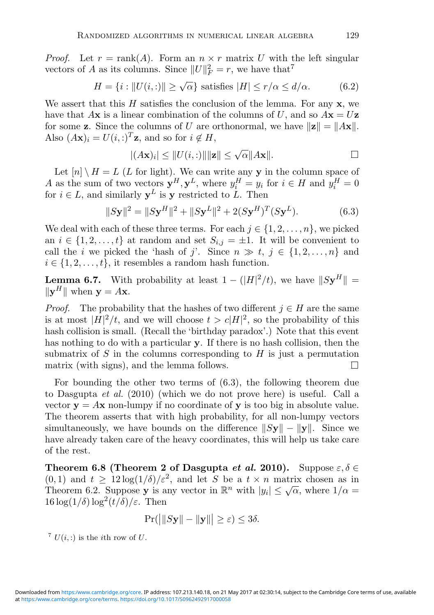*Proof.* Let  $r = \text{rank}(A)$ . Form an  $n \times r$  matrix U with the left singular vectors of A as its columns. Since  $||U||_F^2 = r$ , we have that<sup>7</sup>

$$
H = \{i : ||U(i, :)|| \ge \sqrt{\alpha}\} \text{ satisfies } |H| \le r/\alpha \le d/\alpha. \tag{6.2}
$$

We assert that this H satisfies the conclusion of the lemma. For any  $x$ , we have that  $A\mathbf{x}$  is a linear combination of the columns of U, and so  $A\mathbf{x} = U\mathbf{z}$ for some **z**. Since the columns of U are orthonormal, we have  $||\mathbf{z}|| = ||A\mathbf{x}||$ . Also  $(A\mathbf{x})_i = U(i,:)^T\mathbf{z}$ , and so for  $i \notin H$ ,

$$
|(A\mathbf{x})_i| \leq ||U(i,:)|| ||\mathbf{z}|| \leq \sqrt{\alpha} ||A\mathbf{x}||.
$$

Let  $[n] \setminus H = L$  (L for light). We can write any **y** in the column space of A as the sum of two vectors  $y^H$ ,  $y^L$ , where  $y_i^H = y_i$  for  $i \in H$  and  $y_i^H = 0$ for  $i \in L$ , and similarly  $y^L$  is y restricted to L. Then

$$
||S\mathbf{y}||^2 = ||S\mathbf{y}^H||^2 + ||S\mathbf{y}^L||^2 + 2(S\mathbf{y}^H)^T(S\mathbf{y}^L).
$$
 (6.3)

We deal with each of these three terms. For each  $j \in \{1, 2, \ldots, n\}$ , we picked an  $i \in \{1, 2, \ldots, t\}$  at random and set  $S_{i,j} = \pm 1$ . It will be convenient to call the *i* we picked the 'hash of j'. Since  $n \gg t$ ,  $j \in \{1, 2, ..., n\}$  and  $i \in \{1, 2, \ldots, t\}$ , it resembles a random hash function.

**Lemma 6.7.** With probability at least  $1 - (|H|^2/t)$ , we have  $||Sy^H|| =$  $\|\mathbf{y}^H\|$  when  $\mathbf{y} = A\mathbf{x}$ .

*Proof.* The probability that the hashes of two different  $j \in H$  are the same is at most  $|H|^2/t$ , and we will choose  $t > c|H|^2$ , so the probability of this hash collision is small. (Recall the 'birthday paradox'.) Note that this event has nothing to do with a particular y. If there is no hash collision, then the submatrix of  $S$  in the columns corresponding to  $H$  is just a permutation matrix (with signs), and the lemma follows.  $\Box$ 

For bounding the other two terms of (6.3), the following theorem due to Dasgupta et al. (2010) (which we do not prove here) is useful. Call a vector  $\mathbf{v} = A\mathbf{x}$  non-lumpy if no coordinate of  $\mathbf{v}$  is too big in absolute value. The theorem asserts that with high probability, for all non-lumpy vectors simultaneously, we have bounds on the difference  $||Sy|| - ||y||$ . Since we have already taken care of the heavy coordinates, this will help us take care of the rest.

Theorem 6.8 (Theorem 2 of Dasgupta *et al.* 2010). Suppose  $\varepsilon, \delta \in$  $(0, 1)$  and  $t \geq 12 \log(1/\delta)/\varepsilon^2$ , and let S be a  $t \times n$  matrix chosen as in (0, 1) and  $t \ge 12 \log(1/\theta)/\epsilon$ , and let S be a  $t \times n$  matrix chosen as in<br>Theorem 6.2. Suppose y is any vector in  $\mathbb{R}^n$  with  $|y_i| \le \sqrt{\alpha}$ , where  $1/\alpha =$  $16\log(1/\delta)\log^2(t/\delta)/\varepsilon$ . Then

$$
\Pr(|||S\mathbf{y}|| - \|\mathbf{y}\|| \geq \varepsilon) \leq 3\delta.
$$

 $7 U(i,:)$  is the *i*th row of U.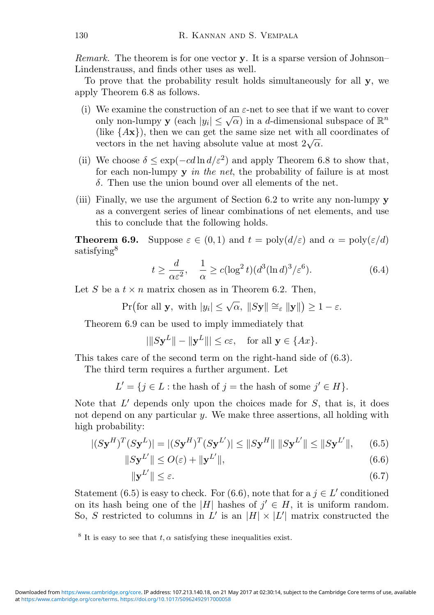*Remark.* The theorem is for one vector **y**. It is a sparse version of Johnson– Lindenstrauss, and finds other uses as well.

To prove that the probability result holds simultaneously for all y, we apply Theorem 6.8 as follows.

- (i) We examine the construction of an  $\varepsilon$ -net to see that if we want to cover we examine the construction of an e-net to see that if we want to cover<br>only non-lumpy **y** (each  $|y_i| \leq \sqrt{\alpha}$ ) in a d-dimensional subspace of  $\mathbb{R}^n$ (like  $\{Ax\}$ ), then we can get the same size net with all coordinates of vectors in the net having absolute value at most  $2\sqrt{\alpha}$ .
- (ii) We choose  $\delta \leq \exp(-cd \ln d/\varepsilon^2)$  and apply Theorem 6.8 to show that, for each non-lumpy  $\bf{v}$  in the net, the probability of failure is at most δ. Then use the union bound over all elements of the net.
- (iii) Finally, we use the argument of Section 6.2 to write any non-lumpy  $\bf{v}$ as a convergent series of linear combinations of net elements, and use this to conclude that the following holds.

**Theorem 6.9.** Suppose  $\varepsilon \in (0,1)$  and  $t = \text{poly}(d/\varepsilon)$  and  $\alpha = \text{poly}(\varepsilon/d)$ satisfying<sup>8</sup>

$$
t \ge \frac{d}{\alpha \varepsilon^2}, \quad \frac{1}{\alpha} \ge c(\log^2 t)(d^3(\ln d)^3/\varepsilon^6). \tag{6.4}
$$

Let S be a  $t \times n$  matrix chosen as in Theorem 6.2. Then,

 $\Pr$ (for all **y**, with  $|y_i| \leq \sqrt{\alpha}$ ,  $||Sy|| \cong_{\varepsilon} ||y||$ )  $\geq 1 - \varepsilon$ .

Theorem 6.9 can be used to imply immediately that

$$
\|\|\mathbf{S}\mathbf{y}^L\| - \|\mathbf{y}^L\|\| \le c\varepsilon, \quad \text{for all } \mathbf{y} \in \{Ax\}.
$$

This takes care of the second term on the right-hand side of (6.3).

The third term requires a further argument. Let

 $L' = \{j \in L : \text{the hash of } j = \text{the hash of some } j' \in H\}.$ 

Note that  $L'$  depends only upon the choices made for  $S$ , that is, it does not depend on any particular  $y$ . We make three assertions, all holding with high probability:

$$
|(S\mathbf{y}^{H})^{T}(S\mathbf{y}^{L})| = |(S\mathbf{y}^{H})^{T}(S\mathbf{y}^{L'})| \leq ||S\mathbf{y}^{H}|| \, ||S\mathbf{y}^{L'}|| \leq ||S\mathbf{y}^{L'}||, \qquad (6.5)
$$

$$
||S\mathbf{y}^{L'}|| \le O(\varepsilon) + \|\mathbf{y}^{L'}\|,\tag{6.6}
$$

$$
\|\mathbf{y}^{L'}\| \le \varepsilon. \tag{6.7}
$$

Statement (6.5) is easy to check. For (6.6), note that for a  $j \in L'$  conditioned on its hash being one of the |H| hashes of  $j' \in H$ , it is uniform random. So, S restricted to columns in L' is an  $|H| \times |L'|$  matrix constructed the

<sup>&</sup>lt;sup>8</sup> It is easy to see that  $t, \alpha$  satisfying these inequalities exist.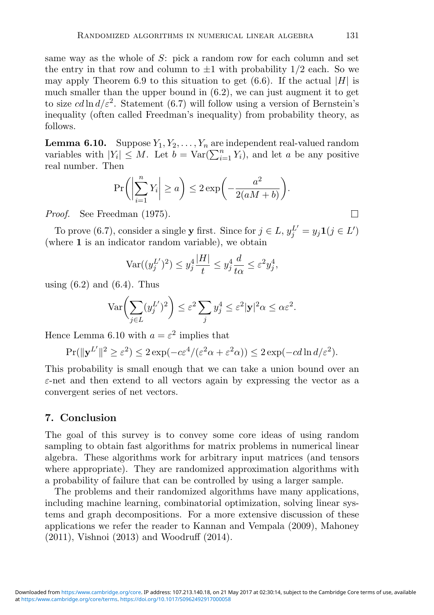same way as the whole of S: pick a random row for each column and set the entry in that row and column to  $\pm 1$  with probability  $1/2$  each. So we may apply Theorem 6.9 to this situation to get (6.6). If the actual  $|H|$  is much smaller than the upper bound in (6.2), we can just augment it to get to size  $cd \ln d/\varepsilon^2$ . Statement (6.7) will follow using a version of Bernstein's inequality (often called Freedman's inequality) from probability theory, as follows.

**Lemma 6.10.** Suppose  $Y_1, Y_2, \ldots, Y_n$  are independent real-valued random variables with  $|Y_i| \leq M$ . Let  $b = \text{Var}(\sum_{i=1}^n Y_i)$ , and let a be any positive real number. Then

$$
\Pr\bigg(\bigg|\sum_{i=1}^n Y_i\bigg| \ge a\bigg) \le 2\exp\bigg(-\frac{a^2}{2(aM+b)}\bigg).
$$

Proof. See Freedman (1975).

To prove (6.7), consider a single **y** first. Since for  $j \in L$ ,  $y_j^{L'} = y_j \mathbf{1}(j \in L')$ (where 1 is an indicator random variable), we obtain

$$
\operatorname{Var}((y_j^{L'})^2) \le y_j^4 \frac{|H|}{t} \le y_j^4 \frac{d}{t\alpha} \le \varepsilon^2 y_j^4,
$$

using  $(6.2)$  and  $(6.4)$ . Thus

$$
\operatorname{Var}\biggl(\sum_{j\in L} (y_j^{L'})^2\biggr) \leq \varepsilon^2 \sum_j y_j^4 \leq \varepsilon^2 |\mathbf{y}|^2 \alpha \leq \alpha \varepsilon^2.
$$

Hence Lemma 6.10 with  $a = \varepsilon^2$  implies that

$$
\Pr(\|\mathbf{y}^{L'}\|^2 \ge \varepsilon^2) \le 2\exp(-c\varepsilon^4/(\varepsilon^2\alpha + \varepsilon^2\alpha)) \le 2\exp(-cd\ln d/\varepsilon^2).
$$

This probability is small enough that we can take a union bound over an  $\varepsilon$ -net and then extend to all vectors again by expressing the vector as a convergent series of net vectors.

# 7. Conclusion

The goal of this survey is to convey some core ideas of using random sampling to obtain fast algorithms for matrix problems in numerical linear algebra. These algorithms work for arbitrary input matrices (and tensors where appropriate). They are randomized approximation algorithms with a probability of failure that can be controlled by using a larger sample.

The problems and their randomized algorithms have many applications, including machine learning, combinatorial optimization, solving linear systems and graph decompositions. For a more extensive discussion of these applications we refer the reader to Kannan and Vempala (2009), Mahoney (2011), Vishnoi (2013) and Woodruff (2014).

 $\Box$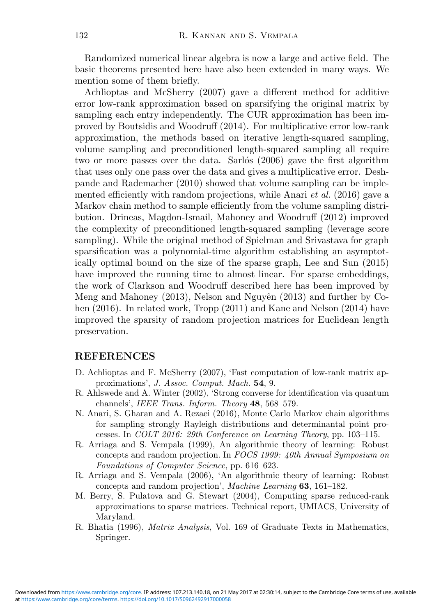Randomized numerical linear algebra is now a large and active field. The basic theorems presented here have also been extended in many ways. We mention some of them briefly.

Achlioptas and McSherry (2007) gave a different method for additive error low-rank approximation based on sparsifying the original matrix by sampling each entry independently. The CUR approximation has been improved by Boutsidis and Woodruff (2014). For multiplicative error low-rank approximation, the methods based on iterative length-squared sampling, volume sampling and preconditioned length-squared sampling all require two or more passes over the data. Sarlós  $(2006)$  gave the first algorithm that uses only one pass over the data and gives a multiplicative error. Deshpande and Rademacher (2010) showed that volume sampling can be implemented efficiently with random projections, while Anari *et al.* (2016) gave a Markov chain method to sample efficiently from the volume sampling distribution. Drineas, Magdon-Ismail, Mahoney and Woodruff (2012) improved the complexity of preconditioned length-squared sampling (leverage score sampling). While the original method of Spielman and Srivastava for graph sparsification was a polynomial-time algorithm establishing an asymptotically optimal bound on the size of the sparse graph, Lee and Sun (2015) have improved the running time to almost linear. For sparse embeddings, the work of Clarkson and Woodruff described here has been improved by Meng and Mahoney  $(2013)$ , Nelson and Nguyên  $(2013)$  and further by Cohen (2016). In related work, Tropp (2011) and Kane and Nelson (2014) have improved the sparsity of random projection matrices for Euclidean length preservation.

## REFERENCES

- D. Achlioptas and F. McSherry (2007), 'Fast computation of low-rank matrix approximations', J. Assoc. Comput. Mach. 54, 9.
- R. Ahlswede and A. Winter (2002), 'Strong converse for identification via quantum channels', IEEE Trans. Inform. Theory 48, 568–579.
- N. Anari, S. Gharan and A. Rezaei (2016), Monte Carlo Markov chain algorithms for sampling strongly Rayleigh distributions and determinantal point processes. In COLT 2016: 29th Conference on Learning Theory, pp. 103–115.
- R. Arriaga and S. Vempala (1999), An algorithmic theory of learning: Robust concepts and random projection. In FOCS 1999: 40th Annual Symposium on Foundations of Computer Science, pp. 616–623.
- R. Arriaga and S. Vempala (2006), 'An algorithmic theory of learning: Robust concepts and random projection', Machine Learning 63, 161–182.
- M. Berry, S. Pulatova and G. Stewart (2004), Computing sparse reduced-rank approximations to sparse matrices. Technical report, UMIACS, University of Maryland.
- R. Bhatia (1996), Matrix Analysis, Vol. 169 of Graduate Texts in Mathematics, Springer.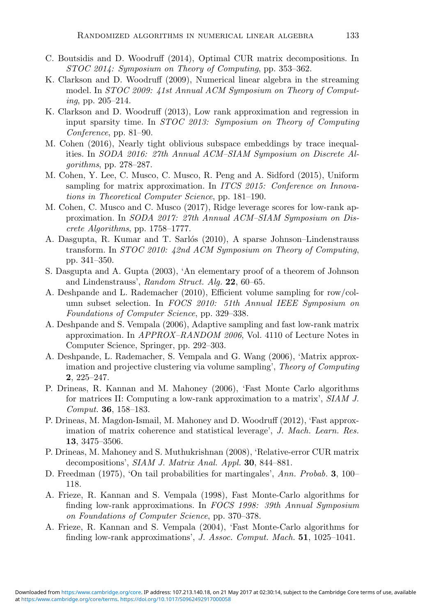- C. Boutsidis and D. Woodruff (2014), Optimal CUR matrix decompositions. In STOC 2014: Symposium on Theory of Computing, pp. 353–362.
- K. Clarkson and D. Woodruff (2009), Numerical linear algebra in the streaming model. In STOC 2009: 41st Annual ACM Symposium on Theory of Computing, pp. 205–214.
- K. Clarkson and D. Woodruff (2013), Low rank approximation and regression in input sparsity time. In STOC 2013: Symposium on Theory of Computing Conference, pp. 81–90.
- M. Cohen (2016), Nearly tight oblivious subspace embeddings by trace inequalities. In SODA 2016: 27th Annual ACM–SIAM Symposium on Discrete Algorithms, pp. 278–287.
- M. Cohen, Y. Lee, C. Musco, C. Musco, R. Peng and A. Sidford (2015), Uniform sampling for matrix approximation. In *ITCS 2015: Conference on Innova*tions in Theoretical Computer Science, pp. 181–190.
- M. Cohen, C. Musco and C. Musco (2017), Ridge leverage scores for low-rank approximation. In SODA 2017: 27th Annual ACM–SIAM Symposium on Discrete Algorithms, pp. 1758–1777.
- A. Dasgupta, R. Kumar and T. Sarlós (2010), A sparse Johnson–Lindenstrauss transform. In STOC 2010: 42nd ACM Symposium on Theory of Computing, pp. 341–350.
- S. Dasgupta and A. Gupta (2003), 'An elementary proof of a theorem of Johnson and Lindenstrauss', Random Struct. Alg. 22, 60–65.
- A. Deshpande and L. Rademacher (2010), Efficient volume sampling for row/column subset selection. In FOCS 2010: 51th Annual IEEE Symposium on Foundations of Computer Science, pp. 329–338.
- A. Deshpande and S. Vempala (2006), Adaptive sampling and fast low-rank matrix approximation. In APPROX–RANDOM 2006, Vol. 4110 of Lecture Notes in Computer Science, Springer, pp. 292–303.
- A. Deshpande, L. Rademacher, S. Vempala and G. Wang (2006), 'Matrix approximation and projective clustering via volume sampling', Theory of Computing 2, 225–247.
- P. Drineas, R. Kannan and M. Mahoney (2006), 'Fast Monte Carlo algorithms for matrices II: Computing a low-rank approximation to a matrix', SIAM J. Comput. 36, 158–183.
- P. Drineas, M. Magdon-Ismail, M. Mahoney and D. Woodruff (2012), 'Fast approximation of matrix coherence and statistical leverage', J. Mach. Learn. Res. 13, 3475–3506.
- P. Drineas, M. Mahoney and S. Muthukrishnan (2008), 'Relative-error CUR matrix decompositions', SIAM J. Matrix Anal. Appl. 30, 844-881.
- D. Freedman (1975), 'On tail probabilities for martingales', Ann. Probab. 3, 100– 118.
- A. Frieze, R. Kannan and S. Vempala (1998), Fast Monte-Carlo algorithms for finding low-rank approximations. In FOCS 1998: 39th Annual Symposium on Foundations of Computer Science, pp. 370–378.
- A. Frieze, R. Kannan and S. Vempala (2004), 'Fast Monte-Carlo algorithms for finding low-rank approximations', J. Assoc. Comput. Mach. 51, 1025–1041.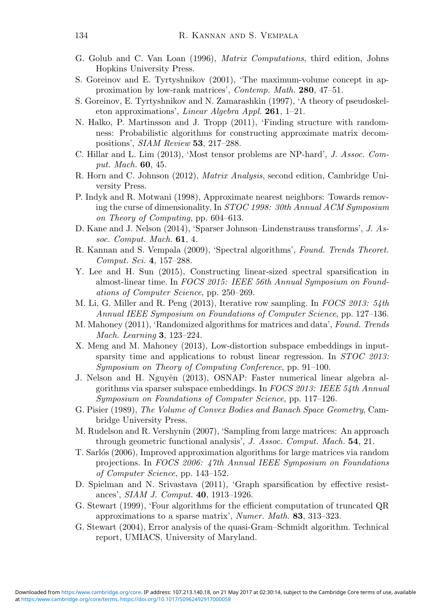- G. Golub and C. Van Loan (1996), Matrix Computations, third edition, Johns Hopkins University Press.
- S. Goreinov and E. Tyrtyshnikov (2001), 'The maximum-volume concept in approximation by low-rank matrices', Contemp. Math. 280, 47–51.
- S. Goreinov, E. Tyrtyshnikov and N. Zamarashkin (1997), 'A theory of pseudoskeleton approximations', Linear Algebra Appl. 261, 1–21.
- N. Halko, P. Martinsson and J. Tropp (2011), 'Finding structure with randomness: Probabilistic algorithms for constructing approximate matrix decompositions', SIAM Review 53, 217–288.
- C. Hillar and L. Lim (2013), 'Most tensor problems are NP-hard', J. Assoc. Comput. Mach. 60, 45.
- R. Horn and C. Johnson (2012), Matrix Analysis, second edition, Cambridge University Press.
- P. Indyk and R. Motwani (1998), Approximate nearest neighbors: Towards removing the curse of dimensionality. In STOC 1998: 30th Annual ACM Symposium on Theory of Computing, pp. 604–613.
- D. Kane and J. Nelson (2014), 'Sparser Johnson–Lindenstrauss transforms', J. Assoc. Comput. Mach. **61**, 4.
- R. Kannan and S. Vempala (2009), 'Spectral algorithms', Found. Trends Theoret. Comput. Sci. 4, 157–288.
- Y. Lee and H. Sun (2015), Constructing linear-sized spectral sparsification in almost-linear time. In FOCS 2015: IEEE 56th Annual Symposium on Foundations of Computer Science, pp. 250–269.
- M. Li, G. Miller and R. Peng (2013), Iterative row sampling. In FOCS 2013: 54th Annual IEEE Symposium on Foundations of Computer Science, pp. 127–136.
- M. Mahoney (2011), 'Randomized algorithms for matrices and data', Found. Trends Mach. Learning 3, 123–224.
- X. Meng and M. Mahoney (2013), Low-distortion subspace embeddings in inputsparsity time and applications to robust linear regression. In *STOC 2013*: Symposium on Theory of Computing Conference, pp. 91–100.
- J. Nelson and H. Nguyˆen (2013), OSNAP: Faster numerical linear algebra algorithms via sparser subspace embeddings. In FOCS 2013: IEEE 54th Annual Symposium on Foundations of Computer Science, pp. 117–126.
- G. Pisier (1989), The Volume of Convex Bodies and Banach Space Geometry, Cambridge University Press.
- M. Rudelson and R. Vershynin (2007), 'Sampling from large matrices: An approach through geometric functional analysis', J. Assoc. Comput. Mach. 54, 21.
- T. Sarlós (2006), Improved approximation algorithms for large matrices via random projections. In FOCS 2006: 47th Annual IEEE Symposium on Foundations of Computer Science, pp. 143–152.
- D. Spielman and N. Srivastava (2011), 'Graph sparsification by effective resistances', SIAM J. Comput. 40, 1913–1926.
- G. Stewart (1999), 'Four algorithms for the efficient computation of truncated QR approximations to a sparse matrix', Numer. Math. 83, 313–323.
- G. Stewart (2004), Error analysis of the quasi-Gram–Schmidt algorithm. Technical report, UMIACS, University of Maryland.